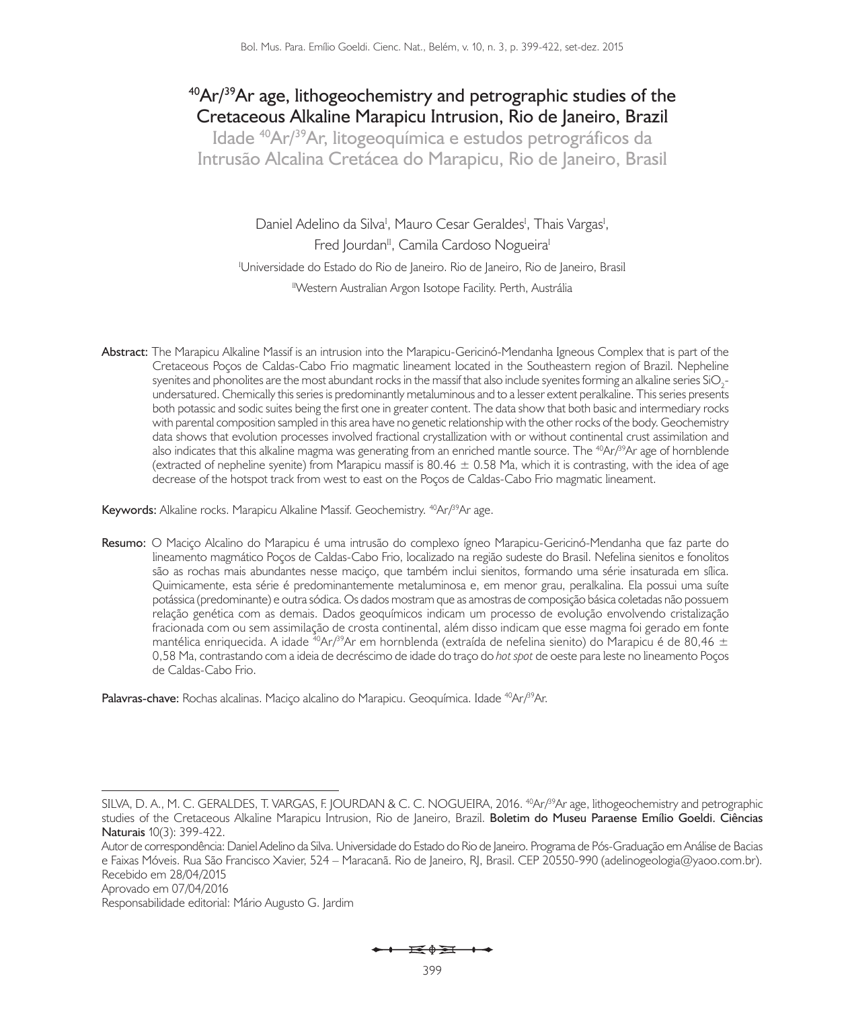# **40Ar/39Ar age, lithogeochemistry and petrographic studies of the Cretaceous Alkaline Marapicu Intrusion, Rio de Janeiro, Brazil**

**Idade 40Ar/39Ar, litogeoquímica e estudos petrográficos da Intrusão Alcalina Cretácea do Marapicu, Rio de Janeiro, Brasil**

Daniel Adelino da Silva<sup>i</sup>, Mauro Cesar Geraldes<sup>i</sup>, Thais Vargas<sup>i</sup>, Fred Jourdan<sup>II</sup>, Camila Cardoso Nogueira<sup>I</sup> <sup>I</sup>Universidade do Estado do Rio de Janeiro. Rio de Janeiro, Rio de Janeiro, Brasil <sup>II</sup>Western Australian Argon Isotope Facility. Perth, Austrália

**Abstract:** The Marapicu Alkaline Massif is an intrusion into the Marapicu-Gericinó-Mendanha Igneous Complex that is part of the Cretaceous Poços de Caldas-Cabo Frio magmatic lineament located in the Southeastern region of Brazil. Nepheline syenites and phonolites are the most abundant rocks in the massif that also include syenites forming an alkaline series SiO<sub>2</sub>undersatured. Chemically this series is predominantly metaluminous and to a lesser extent peralkaline. This series presents both potassic and sodic suites being the first one in greater content. The data show that both basic and intermediary rocks with parental composition sampled in this area have no genetic relationship with the other rocks of the body. Geochemistry data shows that evolution processes involved fractional crystallization with or without continental crust assimilation and also indicates that this alkaline magma was generating from an enriched mantle source. The <sup>40</sup>Ar $/3^9$ Ar age of hornblende (extracted of nepheline syenite) from Marapicu massif is  $80.46 \pm 0.58$  Ma, which it is contrasting, with the idea of age decrease of the hotspot track from west to east on the Poços de Caldas-Cabo Frio magmatic lineament.

Keywords: Alkaline rocks. Marapicu Alkaline Massif. Geochemistry. <sup>40</sup>Ar/<sup>39</sup>Ar age.

**Resumo:** O Maciço Alcalino do Marapicu é uma intrusão do complexo ígneo Marapicu-Gericinó-Mendanha que faz parte do lineamento magmático Poços de Caldas-Cabo Frio, localizado na região sudeste do Brasil. Nefelina sienitos e fonolitos são as rochas mais abundantes nesse maciço, que também inclui sienitos, formando uma série insaturada em sílica. Quimicamente, esta série é predominantemente metaluminosa e, em menor grau, peralkalina. Ela possui uma suíte potássica (predominante) e outra sódica. Os dados mostram que as amostras de composição básica coletadas não possuem relação genética com as demais. Dados geoquímicos indicam um processo de evolução envolvendo cristalização fracionada com ou sem assimilação de crosta continental, além disso indicam que esse magma foi gerado em fonte mantélica enriquecida. A idade <sup>40</sup>Ar/<sup>39</sup>Ar em hornblenda (extraída de nefelina sienito) do Marapicu é de 80,46 ± 0,58 Ma, contrastando com a ideia de decréscimo de idade do traço do *hot spot* de oeste para leste no lineamento Poços de Caldas-Cabo Frio.

**Palavras-chave:** Rochas alcalinas. Maciço alcalino do Marapicu. Geoquímica. Idade <sup>40</sup>Ar/<sup>39</sup>Ar.

Aprovado em 07/04/2016

Responsabilidade editorial: Mário Augusto G. Jardim

SILVA, D. A., M. C. GERALDES, T. VARGAS, F. JOURDAN & C. C. NOGUEIRA, 2016. <sup>40</sup>Ar/<sup>39</sup>Ar age, lithogeochemistry and petrographic studies of the Cretaceous Alkaline Marapicu Intrusion, Rio de Janeiro, Brazil. **Boletim do Museu Paraense Emílio Goeldi. Ciências Naturais** 10(3): 399-422.

Autor de correspondência: Daniel Adelino da Silva. Universidade do Estado do Rio de Janeiro. Programa de Pós-Graduação em Análise de Bacias e Faixas Móveis. Rua São Francisco Xavier, 524 – Maracanã. Rio de Janeiro, RJ, Brasil. CEP 20550-990 (adelinogeologia@yaoo.com.br). Recebido em 28/04/2015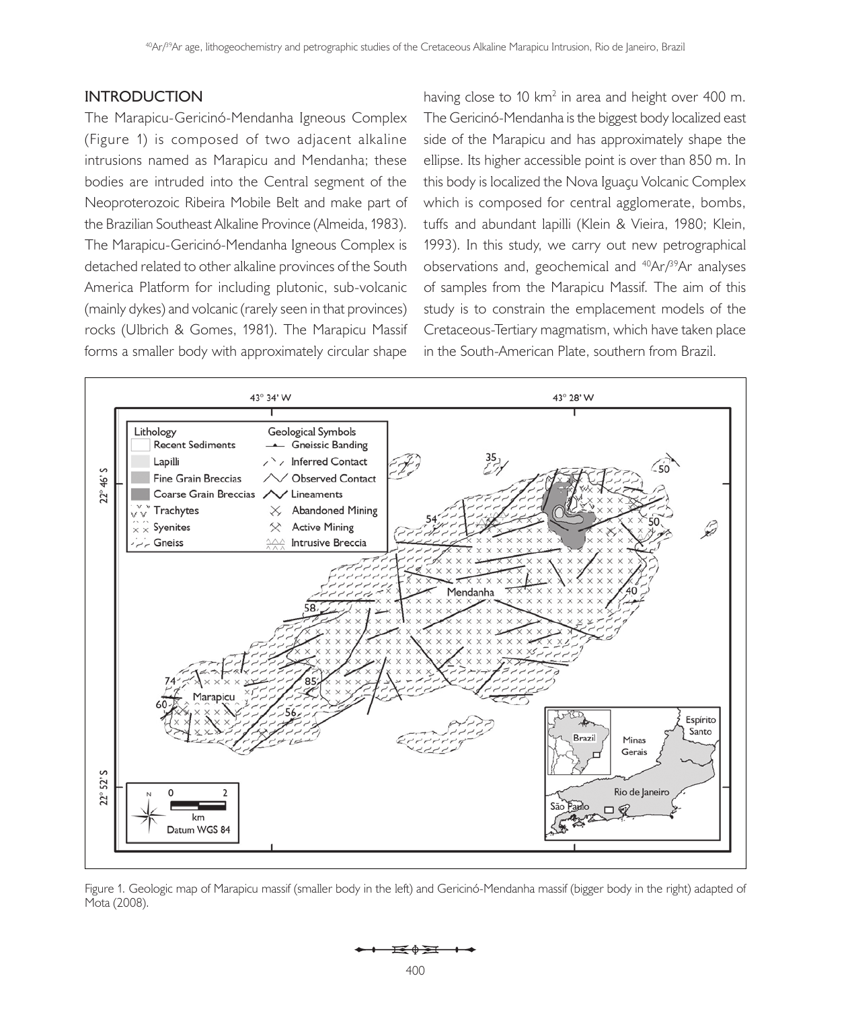# **INTRODUCTION**

The Marapicu-Gericinó-Mendanha Igneous Complex (Figure 1) is composed of two adjacent alkaline intrusions named as Marapicu and Mendanha; these bodies are intruded into the Central segment of the Neoproterozoic Ribeira Mobile Belt and make part of the Brazilian Southeast Alkaline Province (Almeida, 1983). The Marapicu-Gericinó-Mendanha Igneous Complex is detached related to other alkaline provinces of the South America Platform for including plutonic, sub-volcanic (mainly dykes) and volcanic (rarely seen in that provinces) rocks (Ulbrich & Gomes, 1981). The Marapicu Massif forms a smaller body with approximately circular shape

having close to 10 km<sup>2</sup> in area and height over 400 m. The Gericinó-Mendanha is the biggest body localized east side of the Marapicu and has approximately shape the ellipse. Its higher accessible point is over than 850 m. In this body is localized the Nova Iguaçu Volcanic Complex which is composed for central agglomerate, bombs, tuffs and abundant lapilli (Klein & Vieira, 1980; Klein, 1993). In this study, we carry out new petrographical observations and, geochemical and 40Ar/39Ar analyses of samples from the Marapicu Massif. The aim of this study is to constrain the emplacement models of the Cretaceous-Tertiary magmatism, which have taken place in the South-American Plate, southern from Brazil.



Figure 1. Geologic map of Marapicu massif (smaller body in the left) and Gericinó-Mendanha massif (bigger body in the right) adapted of Mota (2008).

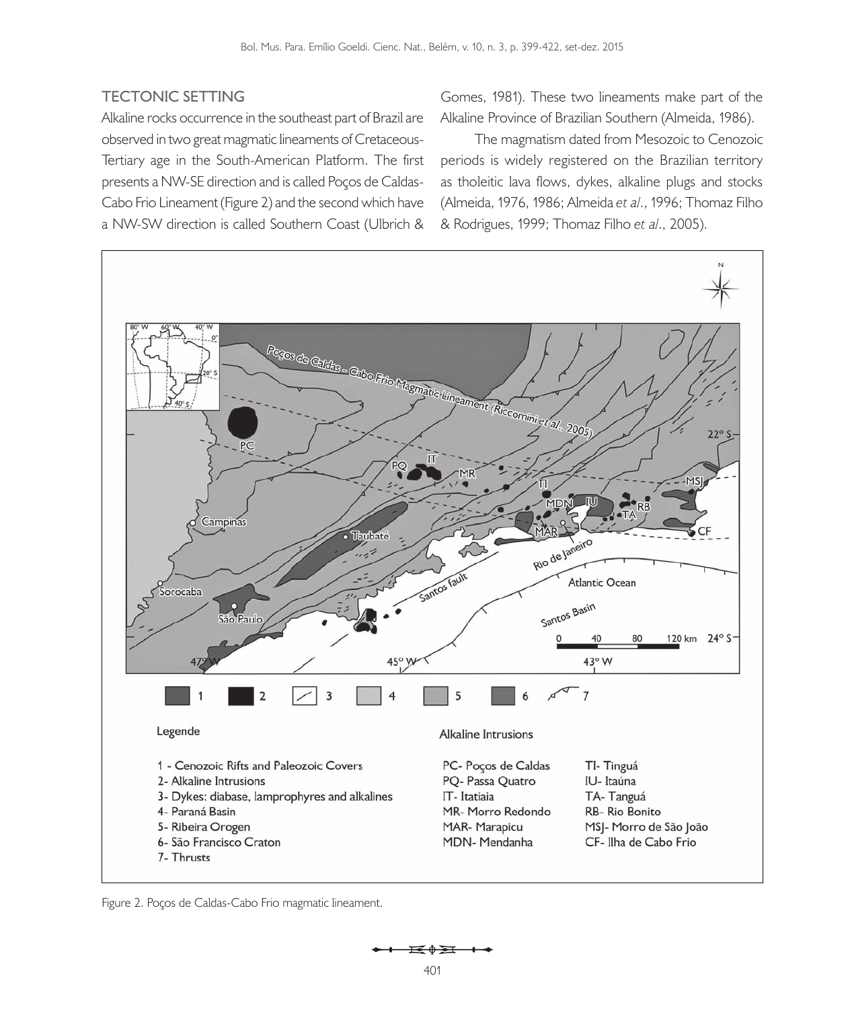# **TECTONIC SETTING**

Alkaline rocks occurrence in the southeast part of Brazil are observed in two great magmatic lineaments of Cretaceous-Tertiary age in the South-American Platform. The first presents a NW-SE direction and is called Poços de Caldas-Cabo Frio Lineament (Figure 2) and the second which have a NW-SW direction is called Southern Coast (Ulbrich &

Gomes, 1981). These two lineaments make part of the Alkaline Province of Brazilian Southern (Almeida, 1986).

The magmatism dated from Mesozoic to Cenozoic periods is widely registered on the Brazilian territory as tholeitic lava flows, dykes, alkaline plugs and stocks (Almeida, 1976, 1986; Almeida *et al*., 1996; Thomaz Filho & Rodrigues, 1999; Thomaz Filho *et al*., 2005).



Figure 2. Poços de Caldas-Cabo Frio magmatic lineament.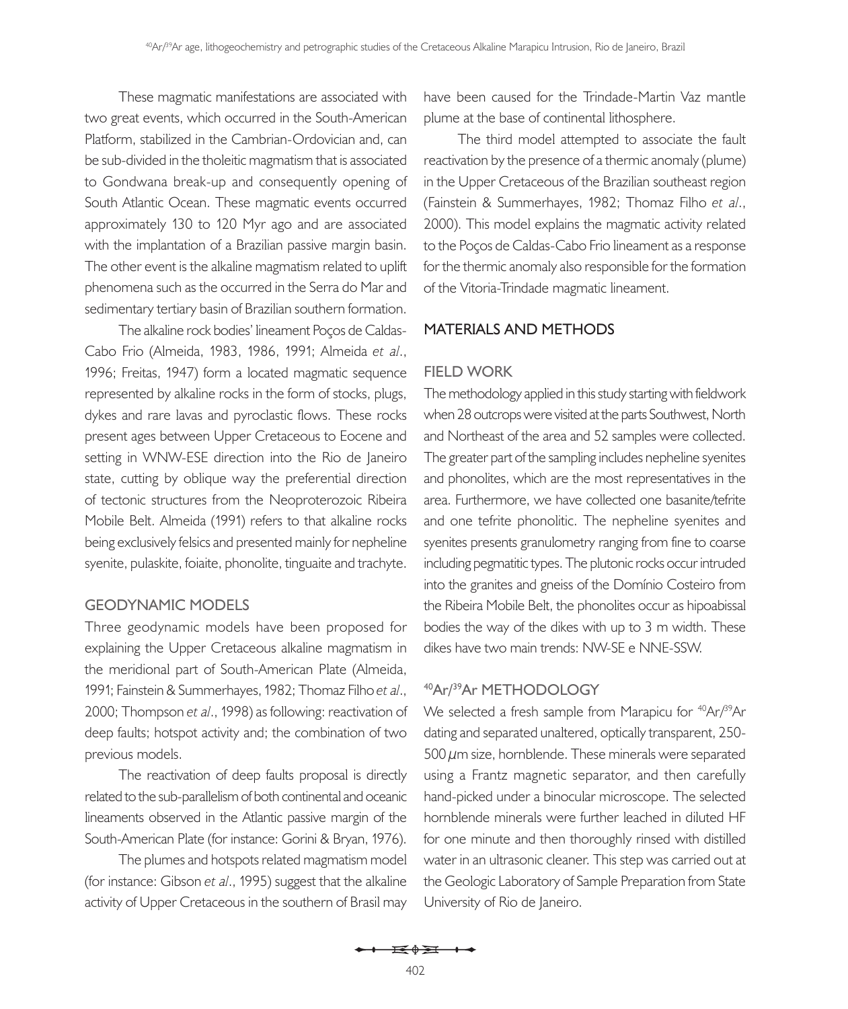These magmatic manifestations are associated with two great events, which occurred in the South-American Platform, stabilized in the Cambrian-Ordovician and, can be sub-divided in the tholeitic magmatism that is associated to Gondwana break-up and consequently opening of South Atlantic Ocean. These magmatic events occurred approximately 130 to 120 Myr ago and are associated with the implantation of a Brazilian passive margin basin. The other event is the alkaline magmatism related to uplift phenomena such as the occurred in the Serra do Mar and sedimentary tertiary basin of Brazilian southern formation.

The alkaline rock bodies' lineament Poços de Caldas-Cabo Frio (Almeida, 1983, 1986, 1991; Almeida *et al*., 1996; Freitas, 1947) form a located magmatic sequence represented by alkaline rocks in the form of stocks, plugs, dykes and rare lavas and pyroclastic flows. These rocks present ages between Upper Cretaceous to Eocene and setting in WNW-ESE direction into the Rio de Janeiro state, cutting by oblique way the preferential direction of tectonic structures from the Neoproterozoic Ribeira Mobile Belt. Almeida (1991) refers to that alkaline rocks being exclusively felsics and presented mainly for nepheline syenite, pulaskite, foiaite, phonolite, tinguaite and trachyte.

# **GEODYNAMIC MODELS**

Three geodynamic models have been proposed for explaining the Upper Cretaceous alkaline magmatism in the meridional part of South-American Plate (Almeida, 1991; Fainstein & Summerhayes, 1982; Thomaz Filho *et al*., 2000; Thompson *et al*., 1998) as following: reactivation of deep faults; hotspot activity and; the combination of two previous models.

The reactivation of deep faults proposal is directly related to the sub-parallelism of both continental and oceanic lineaments observed in the Atlantic passive margin of the South-American Plate (for instance: Gorini & Bryan, 1976).

The plumes and hotspots related magmatism model (for instance: Gibson *et al*., 1995) suggest that the alkaline activity of Upper Cretaceous in the southern of Brasil may have been caused for the Trindade-Martin Vaz mantle plume at the base of continental lithosphere.

The third model attempted to associate the fault reactivation by the presence of a thermic anomaly (plume) in the Upper Cretaceous of the Brazilian southeast region (Fainstein & Summerhayes, 1982; Thomaz Filho *et al*., 2000). This model explains the magmatic activity related to the Poços de Caldas-Cabo Frio lineament as a response for the thermic anomaly also responsible for the formation of the Vitoria-Trindade magmatic lineament.

# **MATERIALS AND METHODS**

#### **FIELD WORK**

The methodology applied in this study starting with fieldwork when 28 outcrops were visited at the parts Southwest, North and Northeast of the area and 52 samples were collected. The greater part of the sampling includes nepheline syenites and phonolites, which are the most representatives in the area. Furthermore, we have collected one basanite/tefrite and one tefrite phonolitic. The nepheline syenites and syenites presents granulometry ranging from fine to coarse including pegmatitic types. The plutonic rocks occur intruded into the granites and gneiss of the Domínio Costeiro from the Ribeira Mobile Belt, the phonolites occur as hipoabissal bodies the way of the dikes with up to 3 m width. These dikes have two main trends: NW-SE e NNE-SSW.

## **40Ar/ 39Ar METHODOLOGY**

We selected a fresh sample from Marapicu for <sup>40</sup>Ar/<sup>39</sup>Ar dating and separated unaltered, optically transparent, 250- 500  $\mu$ m size, hornblende. These minerals were separated using a Frantz magnetic separator, and then carefully hand-picked under a binocular microscope. The selected hornblende minerals were further leached in diluted HF for one minute and then thoroughly rinsed with distilled water in an ultrasonic cleaner. This step was carried out at the Geologic Laboratory of Sample Preparation from State University of Rio de Janeiro.

<del>i≼≬≩i +∢</del>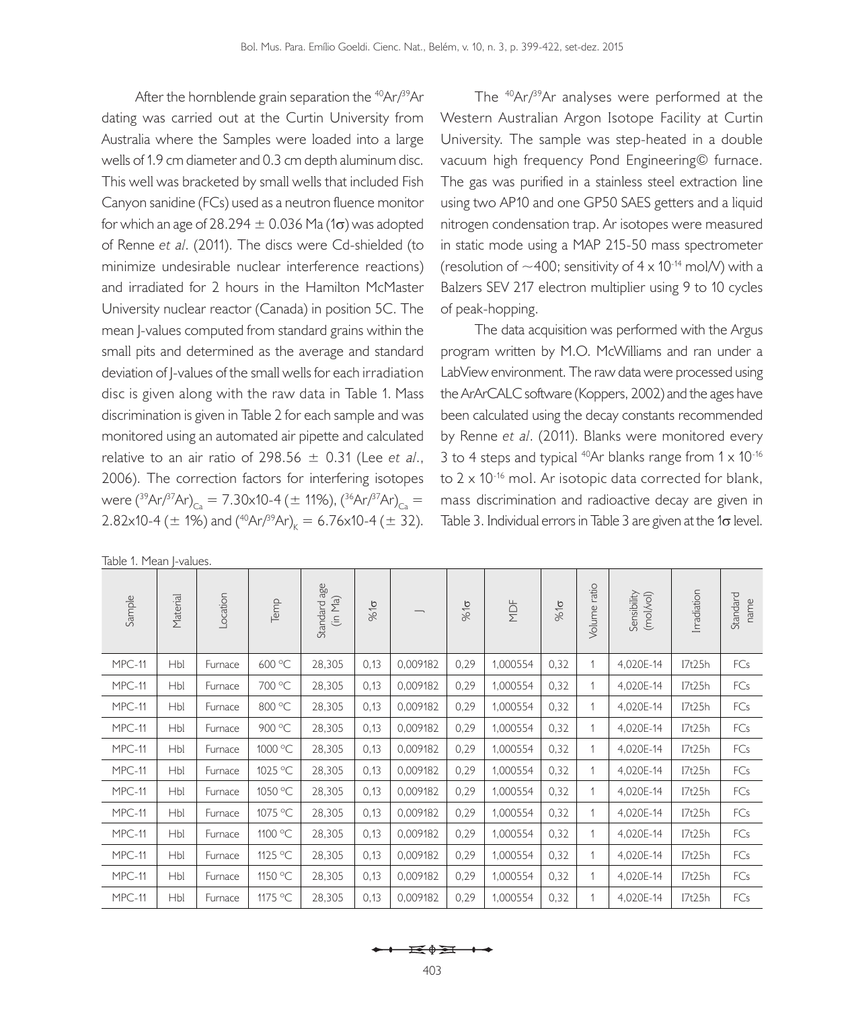After the hornblende grain separation the <sup>40</sup>Ar/<sup>39</sup>Ar dating was carried out at the Curtin University from Australia where the Samples were loaded into a large wells of 1.9 cm diameter and 0.3 cm depth aluminum disc. This well was bracketed by small wells that included Fish Canyon sanidine (FCs) used as a neutron fluence monitor for which an age of 28.294  $\pm$  0.036 Ma (1 $\sigma$ ) was adopted of Renne *et al*. (2011). The discs were Cd-shielded (to minimize undesirable nuclear interference reactions) and irradiated for 2 hours in the Hamilton McMaster University nuclear reactor (Canada) in position 5C. The mean J-values computed from standard grains within the small pits and determined as the average and standard deviation of J-values of the small wells for each irradiation disc is given along with the raw data in Table 1. Mass discrimination is given in Table 2 for each sample and was monitored using an automated air pipette and calculated relative to an air ratio of 298.56  $\pm$  0.31 (Lee *et al.*, 2006). The correction factors for interfering isotopes were  $(^{39}Ar/^{37}Ar)_{\text{Ca}} = 7.30 \times 10^{-4} (\pm 11\%)$ ,  $(^{36}Ar/^{37}Ar)_{\text{Ca}} =$ 2.82x10-4 ( $\pm$  1%) and (<sup>40</sup>Ar/<sup>39</sup>Ar)<sub>k</sub> = 6.76x10-4 ( $\pm$  32).

|  |  |  | Table 1. Mean J-values. |
|--|--|--|-------------------------|
|--|--|--|-------------------------|

The 40Ar/39Ar analyses were performed at the Western Australian Argon Isotope Facility at Curtin University. The sample was step-heated in a double vacuum high frequency Pond Engineering© furnace. The gas was purified in a stainless steel extraction line using two AP10 and one GP50 SAES getters and a liquid nitrogen condensation trap. Ar isotopes were measured in static mode using a MAP 215-50 mass spectrometer (resolution of  $\sim$  400; sensitivity of 4 x 10<sup>-14</sup> mol/V) with a Balzers SEV 217 electron multiplier using 9 to 10 cycles of peak-hopping.

The data acquisition was performed with the Argus program written by M.O. McWilliams and ran under a LabView environment. The raw data were processed using the ArArCALC software (Koppers, 2002) and the ages have been calculated using the decay constants recommended by Renne *et al*. (2011). Blanks were monitored every 3 to 4 steps and typical  $^{40}Ar$  blanks range from  $1 \times 10^{-16}$ to  $2 \times 10^{-16}$  mol. Ar isotopic data corrected for blank, mass discrimination and radioactive decay are given in Table 3. Individual errors in Table 3 are given at the 1 $\sigma$  level.

| Sample   | Material   | _ocation | Temp    | age<br>(in Ma)<br>Standard | $\frac{3}{6}$ |          | $\frac{3}{6}$ to | MDF      | $\frac{1}{2}$ | Volume ratio | Sensibility<br>(mol/vol) | Irradiation | Standard<br>name |
|----------|------------|----------|---------|----------------------------|---------------|----------|------------------|----------|---------------|--------------|--------------------------|-------------|------------------|
| $MPC-11$ | Hbl        | Furnace  | 600 °C  | 28,305                     | 0,13          | 0,009182 | 0,29             | 1,000554 | 0,32          | 1            | 4,020E-14                | I7t25h      | FCs              |
| $MPC-11$ | Hbl        | Furnace  | 700 °C  | 28,305                     | 0,13          | 0,009182 | 0,29             | 1,000554 | 0,32          | 1            | 4,020E-14                | I7t25h      | FCs              |
| MPC-11   | Hbl        | Furnace  | 800 °C  | 28,305                     | 0,13          | 0,009182 | 0,29             | 1,000554 | 0,32          | 1            | 4,020E-14                | I7t25h      | FCs              |
| MPC-11   | Hbl        | Furnace  | 900 °C  | 28,305                     | 0,13          | 0,009182 | 0,29             | 1,000554 | 0,32          | 1            | 4,020E-14                | I7t25h      | FCs              |
| $MPC-11$ | Hbl        | Furnace  | 1000 °C | 28,305                     | 0,13          | 0,009182 | 0,29             | 1,000554 | 0,32          | 1            | 4,020E-14                | I7t25h      | FCs              |
| $MPC-11$ | Hbl        | Furnace  | 1025 °C | 28,305                     | 0,13          | 0,009182 | 0,29             | 1,000554 | 0,32          | 1            | 4,020E-14                | I7t25h      | FCs              |
| MPC-11   | Hbl        | Furnace  | 1050 °C | 28,305                     | 0,13          | 0,009182 | 0,29             | 1,000554 | 0,32          | 1            | 4,020E-14                | I7t25h      | FCs              |
| $MPC-11$ | Hbl        | Furnace  | 1075 °C | 28,305                     | 0,13          | 0,009182 | 0,29             | 1,000554 | 0,32          | 1            | 4,020E-14                | I7t25h      | FCs              |
| $MPC-11$ | Hbl        | Furnace  | 1100 °C | 28,305                     | 0,13          | 0,009182 | 0,29             | 1,000554 | 0,32          | 1            | 4,020E-14                | I7t25h      | FCs              |
| MPC-11   | Hbl        | Furnace  | 1125 °C | 28,305                     | 0,13          | 0,009182 | 0,29             | 1,000554 | 0,32          | 1            | 4,020E-14                | I7t25h      | FCs              |
| $MPC-11$ | <b>Hbl</b> | Furnace  | 1150 °C | 28,305                     | 0,13          | 0,009182 | 0,29             | 1,000554 | 0,32          | 1            | 4,020E-14                | I7t25h      | FCs              |
| MPC-11   | Hbl        | Furnace  | 1175 °C | 28,305                     | 0,13          | 0,009182 | 0,29             | 1,000554 | 0,32          | 1            | 4,020E-14                | I7t25h      | FCs              |

$$
\leftarrow \rightarrow \rightarrow
$$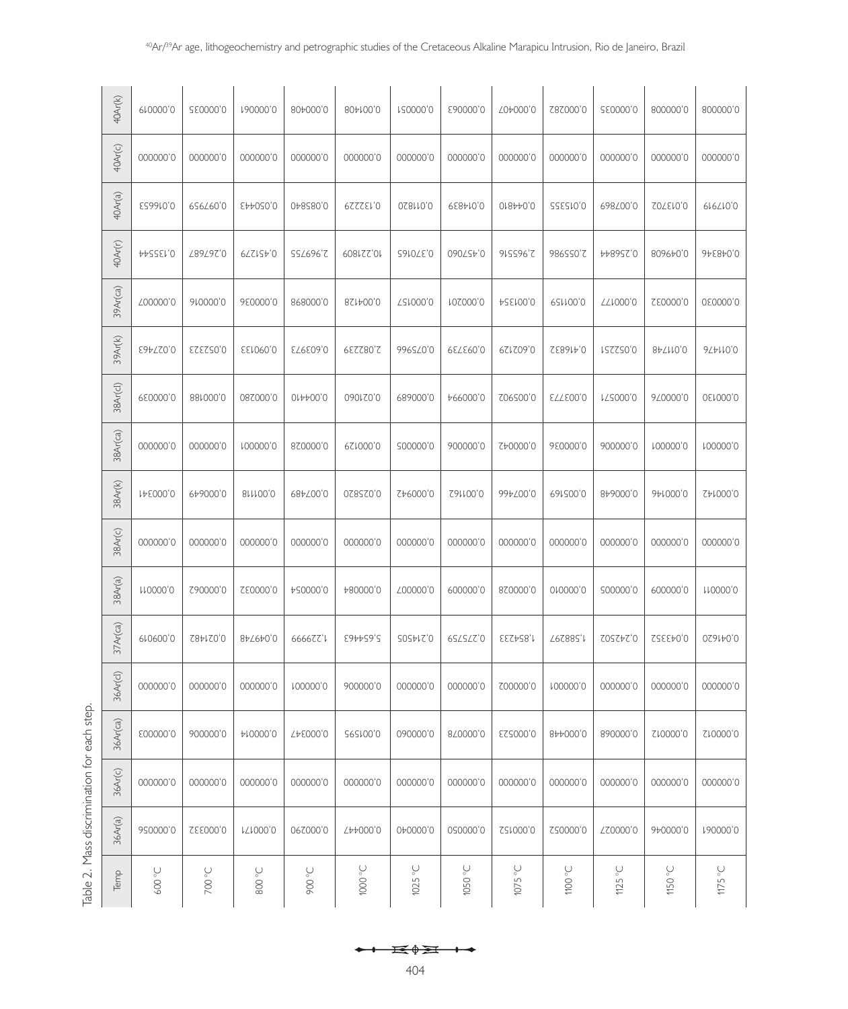| s<br>t<br>$\frac{1}{2}$<br>$\overline{\phantom{a}}$ |
|-----------------------------------------------------|
| :                                                   |
| S<br>j                                              |
| $\frac{1}{1}$                                       |
| Ì                                                   |

| 40Ar(k)     | er0000,0                  | 250000,0              | 190000,0                 | 804000,0       | 804100,0       | LS0000'0           | £90000'0                   | 704000,0        | Z8Z000'0        | 550000,0         | 800000'0   | 800000'0                             |
|-------------|---------------------------|-----------------------|--------------------------|----------------|----------------|--------------------|----------------------------|-----------------|-----------------|------------------|------------|--------------------------------------|
| 40Ar(c)     | 000000'0                  | 000000,0              | 0000000                  | 000000,0       | 0000000        | 000000,0           | 0000000                    | 000000,0        | 0000000         | 000000,0         | 000000,0   | 000000'0                             |
| 40Ar(a)     | E26610,0                  | 6S6Z60'0              | CAA020,0                 | 048580,0       | <b>PSSSS59</b> | 0,011820           | <b>658410,0</b>            | 0.8440,0        | <b>255510,0</b> | 698/00'0         | Ω07510,0   | 616/10 <sub>,0</sub>                 |
| 40Ar(r)     | AAZZEM, O                 | L89L97'0              | 6221570                  | SSZ696'Z       | 10,221809      | G910 (Σ.0          | 090ZSP'0                   | 91SS96'Z        | 986SS0'Z        | <b>4489SZ'0</b>  | 809670'0   | $9+58+0,0$                           |
| 39Ar(ca)    | 700000,0                  | 910000,0              | 980000,0                 | 868000,0       | 821400,0       | <b>751000,0</b>    | <b>MOZOOO</b> <sub>0</sub> | <b>ASE100,0</b> | 621100,0        | <b>TT1000,0</b>  | S20000,0   | 060000,0                             |
| 39Ar(k)     | E94720,0                  | 0,052323              | <b>SEM000,0</b>          | €295973        | 2,082239       | 996SZ0'0           | 62739                      | 621209'0        | SE8914,0        | <b>1252250,0</b> | 847110,0   | $9L$ <sub>p</sub> $10'$ <sup>0</sup> |
| 38Ar(cl)    | 680000,0                  | 881000,0              | 082000,0                 | 014400,0       | 090120,0       | 6890000            | +66000'0                   | 706S00'0        | <b>ELLE00,0</b> | LZS000,0         | 9/0000'0   | 0.0000,0                             |
| 38Ar(ca)    | 000000'0                  | 000000,0              | 100000,0                 | 820000,0       | 621000,0       | 500000,0           | 900000'0                   | C40000,0        | 980000,0        | 900000'0         | r00000,0   | 100000,0                             |
| 38Ar(k)     | 148000,0                  | 649000,0              | 811100,0                 | 684700,0       | 02820,0        | Z+6000'0           | C91100,0                   | 997∠00,0        | 691500,0        | 849000,0         | 941000,0   | SA1000,0                             |
| 38Ar(c)     | 000000,0                  | 000000,0              | 000000,0                 | 000000,0       | 000000,0       | 000000,0           | 0000000                    | 000000,0        | 000000,0        | 000000,0         | 000000,0   | 000000,0                             |
| 38Ar(a)     | <b>µ00000</b>             | C90000'0              | <b>SE0000,0</b>          | A20000,0       | 480000,0       | ∠00000'0           | 600000'0                   | 820000,0        | 010000,0        | S00000'0         | 600000'0   | <b>µ00000</b>                        |
| $37Ar$ (ca) | 610600'0                  | S84120,0              | 847640,0                 | 666677'L       | 5,654463       | <b>2024505</b>     | 6SLSLZ'0                   | EESA28,1        | T6S882,1        | COSZ77'0         | 0,04352    | 0,041620                             |
| 36Ar(cl)    | 000000'0                  | 000000'0              | 000000,0                 | 100000,0       | 900000'0       | 000000,0           | 000000,0                   | Z00000'0        | 100000,0        | 000000,0         | 000000,0   | 000000,0                             |
| 36Ar(ca)    | E00000'0                  | 900000'0              | A10000,0                 | Δ48000,0       | S6S100,0       | 090000'0           | 8/0000'0                   | 0,000523        | 844000,0        | 890000'0         | C10000,0   | S10000,0                             |
| 36Ar(c)     | 000000'0                  | 000000'0              | 000000'0                 | 000000'0       | 000000'0       | 0000000            | 000000'0                   | 000000'0        | 000000'0        | 0000000          | 0000000    | 0000000                              |
| 36Ar(a)     | 990000'0                  | 0,000332              | VZV000'0                 | 067000'0       | 744000,0       | 040000,0           | 0900000                    | S21000,0        | ZS0000'0        | ∠Z0000'0         | 9+0000'0   | 190000'0                             |
| Temp        | <b>D</b> <sub>°</sub> 009 | $\supset$ 00 $\infty$ | $\bigcup_{\circ}$<br>800 | <b>D</b> ° 006 | $\supset$ 000  | $\bigcirc$<br>1025 | $\sim$ 020 $\,$            | 1075 °C         | $\supset$ 0011  | 1125 $\degree$ C | $\sim$ 050 | 1175 $\degree$ C                     |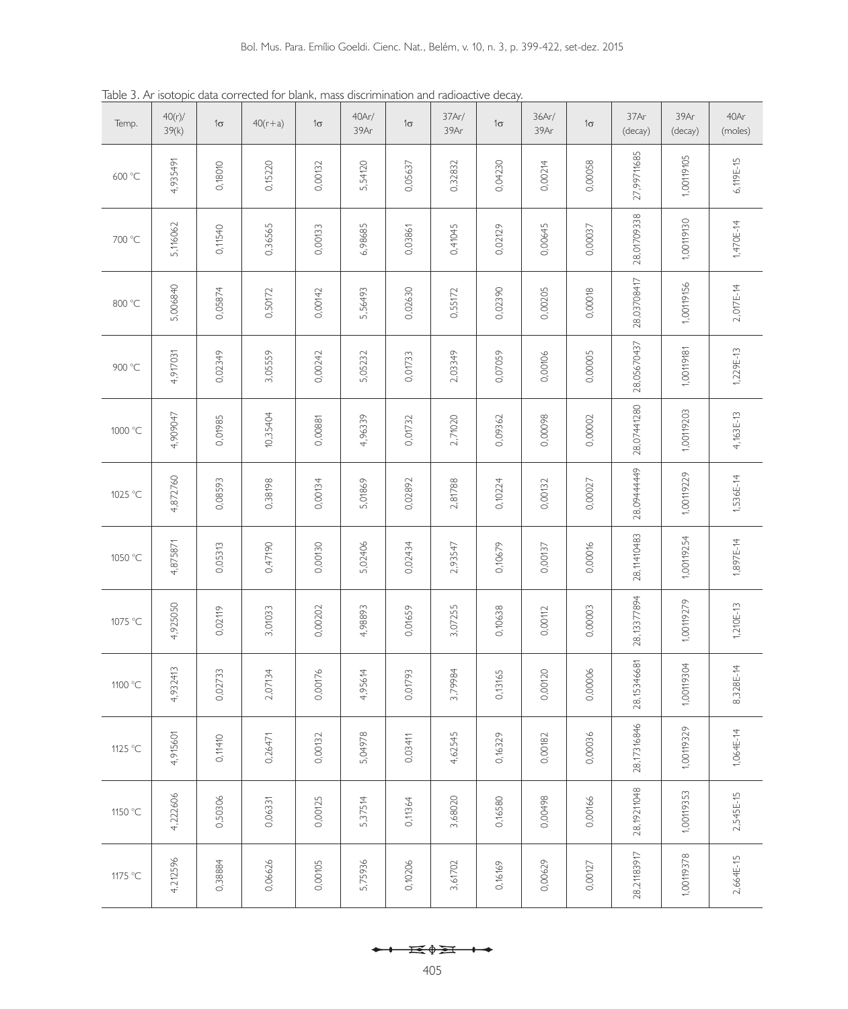Table 3. Ar isotopic data corrected for blank, mass discrimination and radioactive decay.

| Temp.   | 40(r)/<br>39(k) | $1\sigma$ | $40(r+a)$ | $1\sigma$ | 40Ar/<br>39Ar | $1\sigma$ | 37Ar/<br>39Ar | $1\sigma$ | 36Ar/<br>39Ar | $1\sigma$ | 37Ar<br>(decay) | 39Ar<br>(decay) | 40Ar<br>(moles) |
|---------|-----------------|-----------|-----------|-----------|---------------|-----------|---------------|-----------|---------------|-----------|-----------------|-----------------|-----------------|
| 600 °C  | 4,935491        | 0,18010   | 0,15220   | 0,00132   | 5,54120       | 0,05637   | 0,32832       | 0,04230   | 0,00214       | 0,00058   | 27,99711685     | 1,00119105      | 6,119E-15       |
| 700 °C  | 5,116062        | 0,11540   | 0,36565   | 0,00133   | 6,98685       | 0,03861   | 0,41045       | 0,02129   | 0,00645       | 0,00037   | 28,01709338     | 1,00119130      | 1,470E-14       |
| 800 °C  | 5,006840        | 0,05874   | 0,50172   | 0,00142   | 5,56493       | 0,02630   | 0,55172       | 0,02390   | 0,00205       | 0,00018   | 28,03708417     | 1,00119156      | 2,017E-14       |
| 900 °C  | 4,917031        | 0,02349   | 3,05559   | 0,00242   | 5,05232       | 0,01733   | 2,03349       | 0,07059   | 0,00106       | 0,00005   | 28,05670437     | 1,00119181      | 1,229E-13       |
| 1000 °C | 4,909047        | 0,01985   | 10,35404  | 0,00881   | 4,96339       | 0,01732   | 2,71020       | 0,09362   | 0,00098       | 0,00002   | 28,07441280     | 1,00119203      | 4,163E-13       |
| 1025 °C | 4,872760        | 0,08593   | 0,38198   | 0,00134   | 5,01869       | 0,02892   | 2,81788       | 0,10224   | 0,00132       | 0,00027   | 28,09444449     | 1,00119229      | 1,536E-14       |
| 1050 °C | 4,875871        | 0,05313   | 0,47190   | 0,00130   | 5,02406       | 0,02434   | 2,93547       | 0,10679   | 0,00137       | 0,00016   | 28,11410483     | 1,00119254      | 1,897E-14       |
| 1075 °C | 4,925050        | 0,02119   | 3,01033   | 0,00202   | 4,98893       | 0,01659   | 3,07255       | 0,10638   | 0,00112       | 0,00003   | 28,13377894     | 1,00119279      | $1,210E-13$     |
| 1100 °C | 4,932413        | 0,02733   | 2,07134   | 0,00176   | 4,95614       | 0,01793   | 3,79984       | 0,13165   | 0,00120       | 0,00006   | 28,15346681     | 1,00119304      | 8,328E-14       |
| 1125 °C | 4,915601        | 0,11410   | 0,26471   | 0,00132   | 5,04978       | 0,03411   | 4,62545       | 0,16329   | 0,00182       | 0,00036   | 28,17316846     | 1,00119329      | $1,064E-14$     |
| 1150 °C | 4,222606        | 0,50306   | 0,06331   | 0,00125   | 5,37514       | 0,11364   | 3,68020       | 0,16580   | 0,00498       | 0,00166   | 28,19211048     | 1,00119353      | 2,545E-15       |
| 1175 °C | 4,212596        | 0,38884   | 0,06626   | 0,00105   | 5,75936       | 0,10206   | 3,61702       | 0,16169   | 0,00629       | 0,00127   | 28,21183917     | 1,00119378      | 2,664E-15       |

405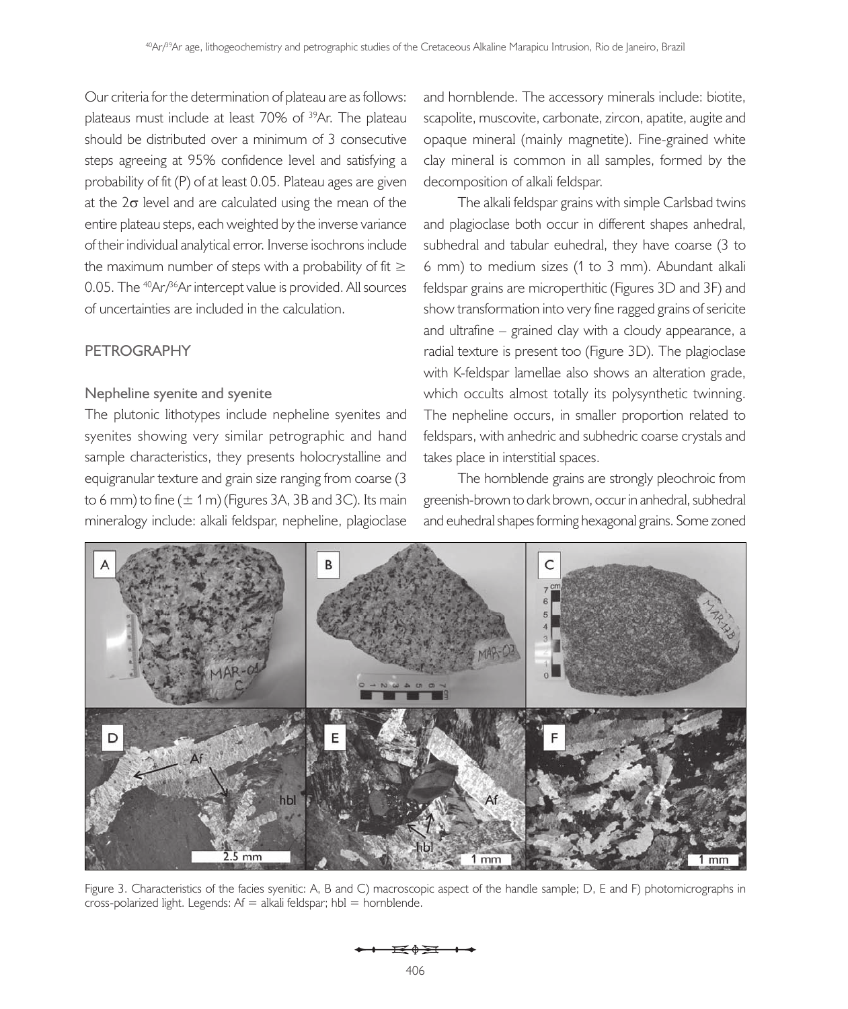Our criteria for the determination of plateau are as follows: plateaus must include at least 70% of <sup>39</sup>Ar. The plateau should be distributed over a minimum of 3 consecutive steps agreeing at 95% confidence level and satisfying a probability of fit (P) of at least 0.05. Plateau ages are given at the  $2\sigma$  level and are calculated using the mean of the entire plateau steps, each weighted by the inverse variance of their individual analytical error. Inverse isochrons include the maximum number of steps with a probability of fit  $\geq$ 0.05. The <sup>40</sup>Ar/<sup>36</sup>Ar intercept value is provided. All sources of uncertainties are included in the calculation.

# **PETROGRAPHY**

# **Nepheline syenite and syenite**

The plutonic lithotypes include nepheline syenites and syenites showing very similar petrographic and hand sample characteristics, they presents holocrystalline and equigranular texture and grain size ranging from coarse (3 to 6 mm) to fine  $(\pm 1 \text{ m})$  (Figures 3A, 3B and 3C). Its main mineralogy include: alkali feldspar, nepheline, plagioclase and hornblende. The accessory minerals include: biotite, scapolite, muscovite, carbonate, zircon, apatite, augite and opaque mineral (mainly magnetite). Fine-grained white clay mineral is common in all samples, formed by the decomposition of alkali feldspar.

The alkali feldspar grains with simple Carlsbad twins and plagioclase both occur in different shapes anhedral, subhedral and tabular euhedral, they have coarse (3 to 6 mm) to medium sizes (1 to 3 mm). Abundant alkali feldspar grains are microperthitic (Figures 3D and 3F) and show transformation into very fine ragged grains of sericite and ultrafine – grained clay with a cloudy appearance, a radial texture is present too (Figure 3D). The plagioclase with K-feldspar lamellae also shows an alteration grade, which occults almost totally its polysynthetic twinning. The nepheline occurs, in smaller proportion related to feldspars, with anhedric and subhedric coarse crystals and takes place in interstitial spaces.

The hornblende grains are strongly pleochroic from greenish-brown to dark brown, occur in anhedral, subhedral and euhedral shapes forming hexagonal grains. Some zoned



Figure 3. Characteristics of the facies syenitic: A, B and C) macroscopic aspect of the handle sample; D, E and F) photomicrographs in  $cross-polarized light. Legends: Af = alkali feldspar; hbl = hornblende.$ 

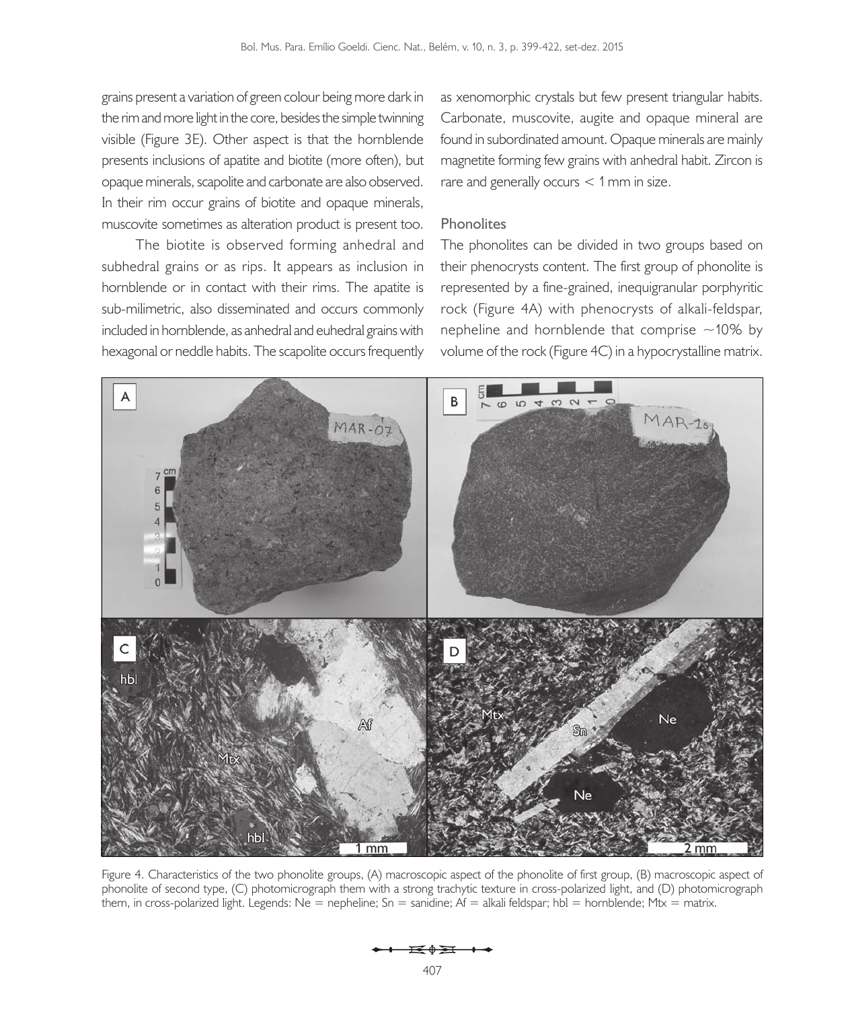grains present a variation of green colour being more dark in the rim and more light in the core, besides the simple twinning visible (Figure 3E). Other aspect is that the hornblende presents inclusions of apatite and biotite (more often), but opaque minerals, scapolite and carbonate are also observed. In their rim occur grains of biotite and opaque minerals, muscovite sometimes as alteration product is present too.

The biotite is observed forming anhedral and subhedral grains or as rips. It appears as inclusion in hornblende or in contact with their rims. The apatite is sub-milimetric, also disseminated and occurs commonly included in hornblende, as anhedral and euhedral grains with hexagonal or neddle habits. The scapolite occurs frequently

as xenomorphic crystals but few present triangular habits. Carbonate, muscovite, augite and opaque mineral are found in subordinated amount. Opaque minerals are mainly magnetite forming few grains with anhedral habit. Zircon is rare and generally occurs  $<$  1 mm in size.

#### **Phonolites**

The phonolites can be divided in two groups based on their phenocrysts content. The first group of phonolite is represented by a fine-grained, inequigranular porphyritic rock (Figure 4A) with phenocrysts of alkali-feldspar, nepheline and hornblende that comprise  $\sim$ 10% by volume of the rock (Figure 4C) in a hypocrystalline matrix.



Figure 4. Characteristics of the two phonolite groups, (A) macroscopic aspect of the phonolite of first group, (B) macroscopic aspect of phonolite of second type, (C) photomicrograph them with a strong trachytic texture in cross-polarized light, and (D) photomicrograph them, in cross-polarized light. Legends: Ne = nepheline; Sn = sanidine; Af = alkali feldspar; hbl = hornblende; Mtx = matrix.

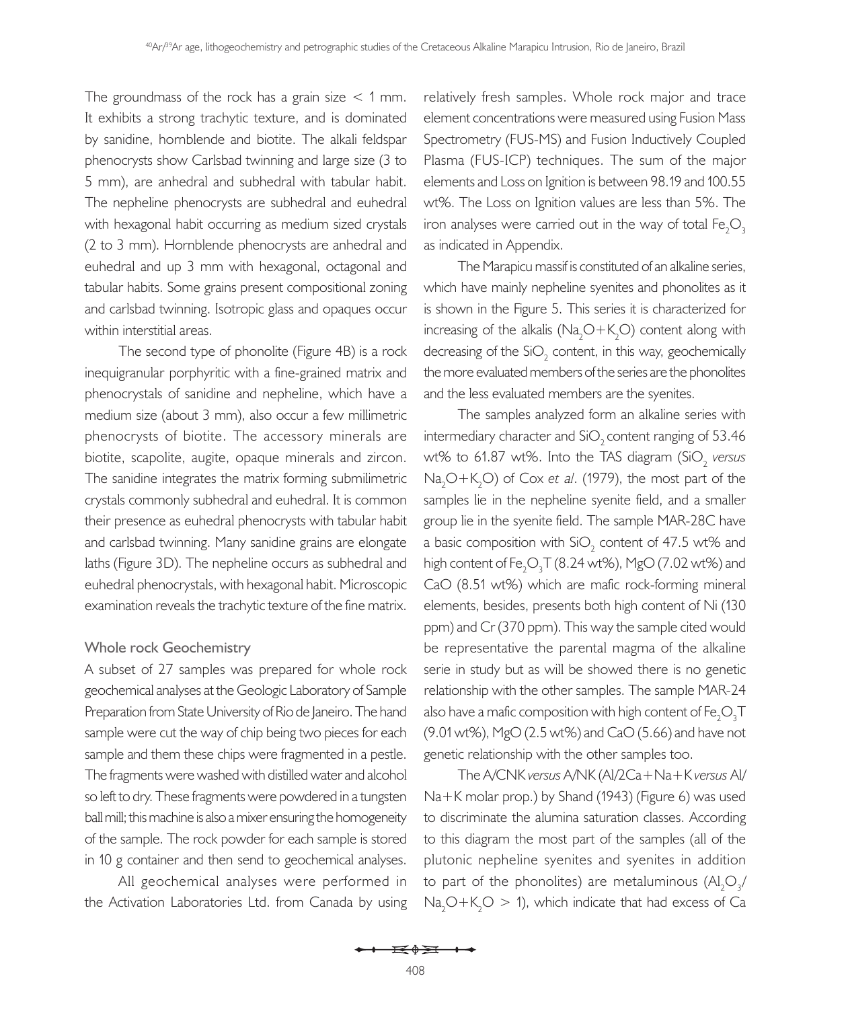The groundmass of the rock has a grain size  $<$  1 mm. It exhibits a strong trachytic texture, and is dominated by sanidine, hornblende and biotite. The alkali feldspar phenocrysts show Carlsbad twinning and large size (3 to 5 mm), are anhedral and subhedral with tabular habit. The nepheline phenocrysts are subhedral and euhedral with hexagonal habit occurring as medium sized crystals (2 to 3 mm). Hornblende phenocrysts are anhedral and euhedral and up 3 mm with hexagonal, octagonal and tabular habits. Some grains present compositional zoning and carlsbad twinning. Isotropic glass and opaques occur within interstitial areas.

The second type of phonolite (Figure 4B) is a rock inequigranular porphyritic with a fine-grained matrix and phenocrystals of sanidine and nepheline, which have a medium size (about 3 mm), also occur a few millimetric phenocrysts of biotite. The accessory minerals are biotite, scapolite, augite, opaque minerals and zircon. The sanidine integrates the matrix forming submilimetric crystals commonly subhedral and euhedral. It is common their presence as euhedral phenocrysts with tabular habit and carlsbad twinning. Many sanidine grains are elongate laths (Figure 3D). The nepheline occurs as subhedral and euhedral phenocrystals, with hexagonal habit. Microscopic examination reveals the trachytic texture of the fine matrix.

#### **Whole rock Geochemistry**

A subset of 27 samples was prepared for whole rock geochemical analyses at the Geologic Laboratory of Sample Preparation from State University of Rio de Janeiro. The hand sample were cut the way of chip being two pieces for each sample and them these chips were fragmented in a pestle. The fragments were washed with distilled water and alcohol so left to dry. These fragments were powdered in a tungsten ball mill; this machine is also a mixer ensuring the homogeneity of the sample. The rock powder for each sample is stored in 10 g container and then send to geochemical analyses.

All geochemical analyses were performed in the Activation Laboratories Ltd. from Canada by using

relatively fresh samples. Whole rock major and trace element concentrations were measured using Fusion Mass Spectrometry (FUS-MS) and Fusion Inductively Coupled Plasma (FUS-ICP) techniques. The sum of the major elements and Loss on Ignition is between 98.19 and 100.55 wt%. The Loss on Ignition values are less than 5%. The iron analyses were carried out in the way of total Fe $_{2} \mathrm{O}_{_{3}}$ as indicated in Appendix.

The Marapicu massif is constituted of an alkaline series, which have mainly nepheline syenites and phonolites as it is shown in the Figure 5. This series it is characterized for increasing of the alkalis ( $Na<sub>2</sub>O + K<sub>2</sub>O$ ) content along with decreasing of the SiO<sub>2</sub> content, in this way, geochemically the more evaluated members of the series are the phonolites and the less evaluated members are the syenites.

The samples analyzed form an alkaline series with intermediary character and  $SiO<sub>2</sub>$  content ranging of 53.46 wt% to 61.87 wt%. Into the TAS diagram (SiO<sub>2</sub> versus Na<sub>2</sub>O+K<sub>2</sub>O) of Cox *et al.* (1979), the most part of the samples lie in the nepheline syenite field, and a smaller group lie in the syenite field. The sample MAR-28C have a basic composition with SiO<sub>2</sub> content of 47.5 wt% and high content of  $\mathsf{Fe}_{2}\mathsf{O}_{3}\mathsf{T}$  (8.24 wt%), MgO (7.02 wt%) and CaO (8.51 wt%) which are mafic rock-forming mineral elements, besides, presents both high content of Ni (130 ppm) and Cr (370 ppm). This way the sample cited would be representative the parental magma of the alkaline serie in study but as will be showed there is no genetic relationship with the other samples. The sample MAR-24 also have a mafic composition with high content of Fe $_{2}$ O $_{3}$ T $_{\odot}$ (9.01 wt%), MgO (2.5 wt%) and CaO (5.66) and have not genetic relationship with the other samples too.

The A/CNK *versus* A/NK (Al/2Ca+Na+K *versus* Al/ Na+K molar prop.) by Shand (1943) (Figure 6) was used to discriminate the alumina saturation classes. According to this diagram the most part of the samples (all of the plutonic nepheline syenites and syenites in addition to part of the phonolites) are metaluminous  $(\mathsf{Al}_2\mathsf{O}_3/$  $Na<sub>2</sub>O+K<sub>2</sub>O > 1$ ), which indicate that had excess of Ca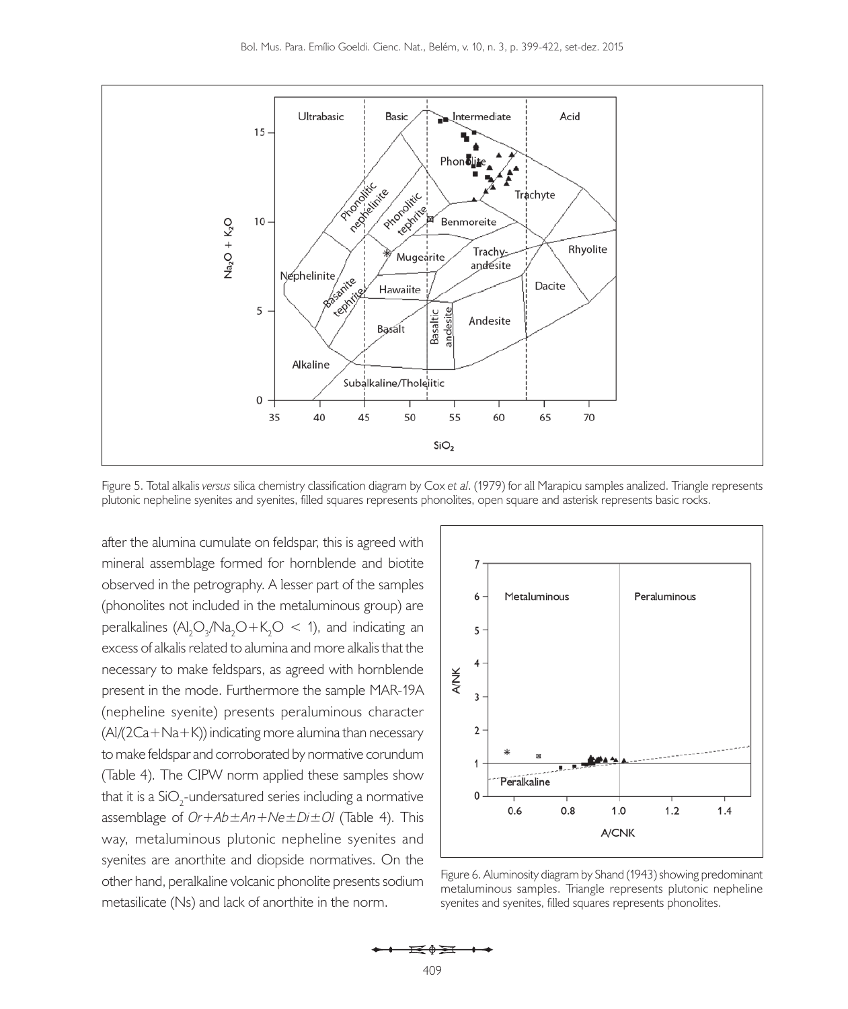

Figure 5. Total alkalis *versus* silica chemistry classification diagram by Cox *et al*. (1979) for all Marapicu samples analized. Triangle represents plutonic nepheline syenites and syenites, filled squares represents phonolites, open square and asterisk represents basic rocks.

after the alumina cumulate on feldspar, this is agreed with mineral assemblage formed for hornblende and biotite observed in the petrography. A lesser part of the samples (phonolites not included in the metaluminous group) are peralkalines  $(\text{Al}_2\text{O}_3/\text{Na}_2\text{O}+\text{K}_2\text{O} < 1)$ , and indicating an excess of alkalis related to alumina and more alkalis that the necessary to make feldspars, as agreed with hornblende present in the mode. Furthermore the sample MAR-19A (nepheline syenite) presents peraluminous character  $(A)/(2Ca+Na+K)$ ) indicating more alumina than necessary to make feldspar and corroborated by normative corundum (Table 4). The CIPW norm applied these samples show that it is a SiO<sub>2</sub>-undersatured series including a normative assemblage of *Or+Ab±An+Ne±Di±Ol* (Table 4). This way, metaluminous plutonic nepheline syenites and syenites are anorthite and diopside normatives. On the other hand, peralkaline volcanic phonolite presents sodium metasilicate (Ns) and lack of anorthite in the norm.



Figure 6. Aluminosity diagram by Shand (1943) showing predominant metaluminous samples. Triangle represents plutonic nepheline syenites and syenites, filled squares represents phonolites.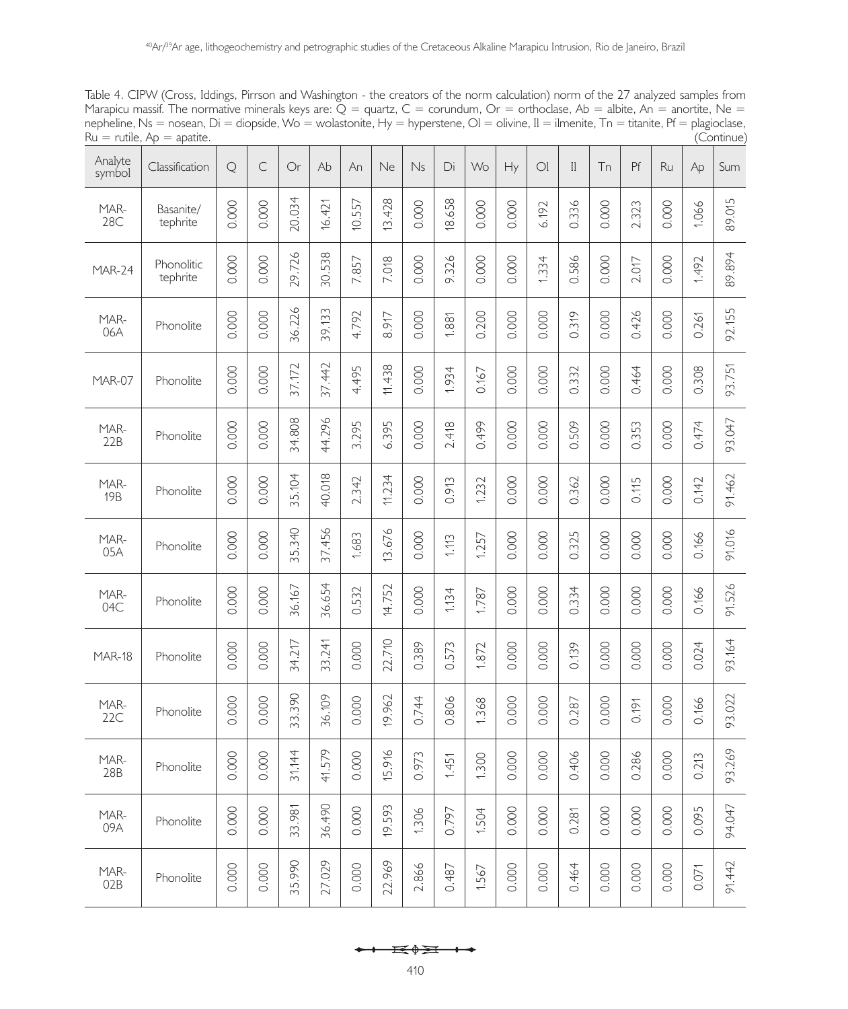Table 4. CIPW (Cross, Iddings, Pirrson and Washington - the creators of the norm calculation) norm of the 27 analyzed samples from Marapicu massif. The normative minerals keys are:  $\breve{Q}$  = quartz, C = corundum, Or = orthoclase, Ab = albite, An = anortite, Ne = nepheline, Ns = nosean, Di = diopside, Wo = wolastonite, Hy = hyperstene, Ol = olivine, Il = ilmenite, Tn = titanite, Pf = plagioclase,<br>Ru = rutile, Ap = apatite.  $Ru = rutile$ ,  $Ap = apartite$ .

| Analyte<br>symbol  | Classification         | $\mathbf Q$ | $\subset$ | Or     | Ab     | An       | Ne     | Ns    | Di     | Wo    | Hy    | O <sub>l</sub> | $\mathbb{I}$ | Tn    | Pf    | Ru    | Ap    | Sum    |
|--------------------|------------------------|-------------|-----------|--------|--------|----------|--------|-------|--------|-------|-------|----------------|--------------|-------|-------|-------|-------|--------|
| MAR-<br>28C        | Basanite/<br>tephrite  | 0.000       | 0.000     | 20.034 | 16.421 | 10.557   | 13.428 | 0.000 | 18.658 | 0.000 | 0.000 | 6.192          | 0.336        | 0.000 | 2.323 | 0.000 | 1.066 | 89.015 |
| MAR-24             | Phonolitic<br>tephrite | 0.000       | 0.000     | 29.726 | 30.538 | 7.857    | 7.018  | 0.000 | 9.326  | 0.000 | 0.000 | 1.334          | 0.586        | 0.000 | 2.017 | 0.000 | 1.492 | 89.894 |
| MAR-<br>06A        | Phonolite              | 0.000       | 0.000     | 36.226 | 39.133 | 4.792    | 8.917  | 0.000 | 1.881  | 0.200 | 0.000 | 0.000          | 0.319        | 0.000 | 0.426 | 0.000 | 0.261 | 92.155 |
| MAR-07             | Phonolite              | 0.000       | 0.000     | 37.172 | 37.442 | 4.495    | 11.438 | 0.000 | 1.934  | 0.167 | 0.000 | 0.000          | 0.332        | 0.000 | 0.464 | 0.000 | 0.308 | 93.751 |
| MAR-<br>22B        | Phonolite              | 0.000       | 0.000     | 34.808 | 44.296 | 3.295    | 6.395  | 0.000 | 2.418  | 0.499 | 0.000 | 0.000          | 0.509        | 0.000 | 0.353 | 0.000 | 0.474 | 93.047 |
| MAR-<br><b>19B</b> | Phonolite              | 0.000       | 0.000     | 35.104 | 40.018 | 2.342    | 11.234 | 0.000 | 0.913  | 1.232 | 0.000 | 0.000          | 0.362        | 0.000 | 0.115 | 0.000 | 0.142 | 91.462 |
| MAR-<br>05A        | Phonolite              | 0.000       | 0.000     | 35.340 | 37.456 | 1.683    | 13.676 | 0.000 | 1.113  | 1.257 | 0.000 | 0.000          | 0.325        | 0.000 | 0.000 | 0.000 | 0.166 | 91.016 |
| MAR-<br>04C        | Phonolite              | 0.000       | 0.000     | 36.167 | 36.654 | 532<br>ö | 14.752 | 0.000 | 1.134  | 1.787 | 0.000 | 0.000          | 0.334        | 0.000 | 0.000 | 0.000 | 0.166 | 91.526 |
| <b>MAR-18</b>      | Phonolite              | 0.000       | 0.000     | 34.217 | 33.241 | 0.000    | 22.710 | 0.389 | 0.573  | 1.872 | 0.000 | 0.000          | 0.139        | 0.000 | 0.000 | 0.000 | 0.024 | 93.164 |
| MAR-<br>22C        | Phonolite              | 0.000       | 0.000     | 33.390 | 36.109 | 0.000    | 19.962 | 0.744 | 0.806  | 1.368 | 0.000 | 0.000          | 0.287        | 0.000 | 0.191 | 0.000 | 0.166 | 93.022 |
| MAR-<br>28B        | Phonolite              | 0.000       | 0.000     | 31.144 | 41.579 | 0.000    | 5.916  | 0.973 | 1.451  | 1.300 | 0.000 | 0.000          | 0.406        | 0.000 | 0.286 | 0.000 | 0.213 | 93.269 |
| MAR-<br>09A        | Phonolite              | 0.000       | 0.000     | 33.981 | 36.490 | 0.000    | 19.593 | 1.306 | 0.797  | 1.504 | 0.000 | 0.000          | 0.281        | 0.000 | 0.000 | 0.000 | 0.095 | 94.047 |
| MAR-<br>02B        | Phonolite              | 0.000       | 0.000     | 35.990 | 27.029 | 0.000    | 22.969 | 2.866 | 0.487  | 1.567 | 0.000 | 0.000          | 0.464        | 0.000 | 0.000 | 0.000 | 0.071 | 91.442 |

$$
\overbrace{\qquad \qquad } \overbrace{\qquad \qquad } \overbrace{\qquad \qquad } \overbrace{\qquad \qquad } \overbrace{\qquad \qquad } \overbrace{\qquad \qquad } \overbrace{\qquad \qquad } \overbrace{\qquad \qquad } \overbrace{\qquad \qquad } \overbrace{\qquad \qquad } \overbrace{\qquad \qquad } \overbrace{\qquad \qquad } \overbrace{\qquad \qquad } \overbrace{\qquad \qquad } \overbrace{\qquad \qquad } \overbrace{\qquad \qquad } \overbrace{\qquad \qquad } \overbrace{\qquad \qquad } \overbrace{\qquad \qquad } \overbrace{\qquad \qquad } \overbrace{\qquad \qquad } \overbrace{\qquad \qquad } \overbrace{\qquad \qquad } \overbrace{\qquad \qquad } \overbrace{\qquad \qquad } \overbrace{\qquad \qquad } \overbrace{\qquad \qquad } \overbrace{\qquad \qquad } \overbrace{\qquad \qquad } \overbrace{\qquad \qquad } \overbrace{\qquad \qquad } \overbrace{\qquad \qquad } \overbrace{\qquad \qquad } \overbrace{\qquad \qquad } \overbrace{\qquad \qquad } \overbrace{\qquad \qquad } \overbrace{\qquad \qquad } \overbrace{\qquad \qquad } \overbrace{\qquad \qquad } \overbrace{\qquad \qquad } \overbrace{\qquad \qquad } \overbrace{\qquad \qquad } \overbrace{\qquad \qquad } \overbrace{\qquad \qquad } \overbrace{\qquad \qquad } \overbrace{\qquad \qquad } \overbrace{\qquad \qquad } \overbrace{\qquad \qquad } \overbrace{\qquad \qquad } \overbrace{\qquad \qquad } \overbrace{\qquad \qquad } \overbrace{\qquad \qquad } \overbrace{\qquad \qquad } \overbrace{\qquad \qquad } \overbrace{\qquad \qquad } \overbrace{\qquad \qquad } \overbrace{\qquad \qquad } \overbrace{\qquad \qquad } \overbrace{\qquad \qquad } \overbrace{\qquad \qquad } \overbrace{\qquad \qquad } \overbrace{\qquad \qquad } \overbrace{\qquad \qquad } \overbrace{\qquad \qquad } \overbrace{\qquad \qquad } \overbrace{\qquad \qquad } \overbrace{\qquad \qquad } \overbrace{\qquad \qquad } \overbrace{\qquad \qquad } \overbrace{\qquad \qquad } \overbrace{\qquad \qquad } \overbrace{\qquad \qquad } \overbrace{\qquad \qquad } \overbrace{\qquad \qquad } \overbrace{\qquad \qquad } \overbrace{\qquad \qquad }
$$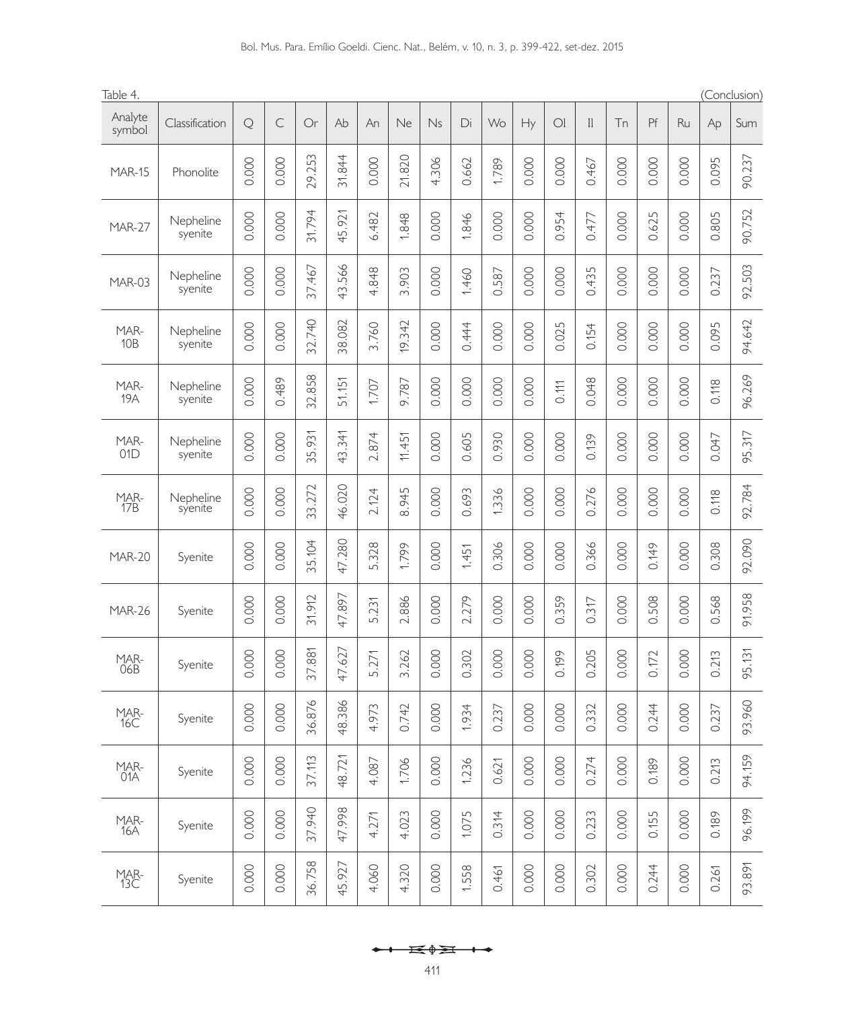| Bol. Mus. Para. Emílio Goeldi. Cienc. Nat., Belém, v. 10, n. 3, p. 399-422, set-dez. 2015 |  |  |  |  |
|-------------------------------------------------------------------------------------------|--|--|--|--|
|-------------------------------------------------------------------------------------------|--|--|--|--|

| Table 4.           |                      |                |                |           |                      |          |                |                |               |                |                |                |                |                |                |                |                | (Conclusion) |
|--------------------|----------------------|----------------|----------------|-----------|----------------------|----------|----------------|----------------|---------------|----------------|----------------|----------------|----------------|----------------|----------------|----------------|----------------|--------------|
| Analyte<br>symbol  | Classification       | Q              | $\subset$      | Or        | Ab                   | An       | Ne             | Ns             | Di            | Wo             | Hy             | O <sub>l</sub> | $\mathbb{I}$   | Tn             | Pf             | Ru             | Ap             | Sum          |
| <b>MAR-15</b>      | Phonolite            | 0.000          | 0.000          | 29.253    | 31.844               | 0.000    | 21.820         | 4.306          | 0.662         | 1.789          | 0.000          | 0.000          | 0.467          | 0.000          | 0.000          | 0.000          | 0.095          | 90.237       |
| <b>MAR-27</b>      | Nepheline<br>syenite | 0.000          | 0.000          | 31.794    | 45.921               | 6.482    | 1.848          | 0.000          | 1.846         | 0.000          | 0.000          | 0.954          | 0.477          | 0.000          | 0.625          | 0.000          | 0.805          | 90.752       |
| <b>MAR-03</b>      | Nepheline<br>syenite | 0.000          | 0.000          | 37.467    | 566<br>43.           | 4.848    | 3.903          | 0.000          | 1.460         | 0.587          | 0.000          | 0.000          | 0.435          | 0.000          | 0.000          | 0.000          | 0.237          | 92.503       |
| MAR-<br>10B        | Nepheline<br>syenite | 0.000          | 0.000          | 32.740    | 38.082               | 3.760    | 19.342         | 0.000          | 0.444         | 0.000          | 0.000          | 0.025          | 0.154          | 0.000          | 0.000          | 0.000          | 0.095          | 94.642       |
| MAR-<br><b>19A</b> | Nepheline<br>syenite | 0.000          | 0.489          | 32.858    | 51.151               | 1.707    | 9.787          | 0.000          | 0.000         | 0.000          | 0.000          | 0.111          | 0.048          | 0.000          | 0.000          | 0.000          | 0.118          | 96.269       |
| MAR-<br>01D        | Nepheline<br>syenite | 0.000          | 0.000          | 35.931    | 43.341               | 2.874    | 11.451         | 0.000          | 0.605         | 0.930          | 0.000          | 0.000          | 0.139          | 0.000          | 0.000          | 0.000          | 0.047          | 95.317       |
| <b>MAR-</b><br>17B | Nepheline<br>syenite | 0.000          | 0.000          | 33.272    | 46.020               | 2.124    | 8.945          | 0.000          | 0.693         | 1.336          | 0.000          | 0.000          | 0.276          | 0.000          | 0.000          | 0.000          | 0.118          | 92.784       |
| <b>MAR-20</b>      | Syenite              | 0.000          | 0.000          | 35.104    | 47.280               | 5.328    | 1.799          | 0.000          | 1.451         | 0.306          | 0.000          | 0.000          | 0.366          | 0.000          | 0.149          | 0.000          | 0.308          | 92.090       |
| <b>MAR-26</b>      | Syenite              | 0.000          | 0.000          | 31.912    | .897<br>47.          | 5.231    | 2.886          | 0.000          | 2.279         | 0.000          | 0.000          | 0.359          | 0.317          | 0.000          | 0.508          | 0.000          | 0.568          | 91.958       |
| MAR-<br>06B        | Syenite              | 0.000          | 0.000          | 37.881    | 47.627               | 5.271    | 3.262          | 0.000          | 0.302         | 0.000          | 0.000          | 0.199          | 0.205          | 0.000          | 0.172          | 0.000          | 0.213          | 95.131       |
| MAR-<br>16C        | Syenite              | 000<br>$\circ$ | 000<br>$\circ$ | 876<br>96 | 386<br>$\frac{8}{4}$ | 973<br>4 | 742<br>$\circ$ | 000<br>$\circ$ | 934<br>$\div$ | 237<br>$\circ$ | 000<br>$\circ$ | 000<br>$\circ$ | 332<br>$\circ$ | 000<br>$\circ$ | 244<br>$\circ$ | 000<br>$\circ$ | 237<br>$\circ$ | 960<br>93    |
| MAR-<br>01A        | Syenite              | 0.000          | 0.000          | 37.113    | 48.721               | 4.087    | 1.706          | 0.000          | 1.236         | 0.621          | 0.000          | 0.000          | 0.274          | 0.000          | 0.189          | 0.000          | 0.213          | 94.159       |
| MAR-<br>16A        | Syenite              | 0.000          | 0.000          | 37.940    | 47.998               | 4.271    | 4.023          | 0.000          | 1.075         | 0.314          | 0.000          | 0.000          | 0.233          | 0.000          | 0.155          | 0.000          | 0.189          | 96.199       |
| MAR-<br>13C        | Syenite              | 0.000          | 0.000          | 36.758    | 45.927               | 4.060    | 4.320          | 0.000          | 1.558         | 0.461          | 0.000          | 0.000          | 0.302          | 0.000          | 0.244          | 0.000          | 0.261          | 93.891       |

$$
\leftarrow \leftarrow \text{H} \leftarrow \text{H}
$$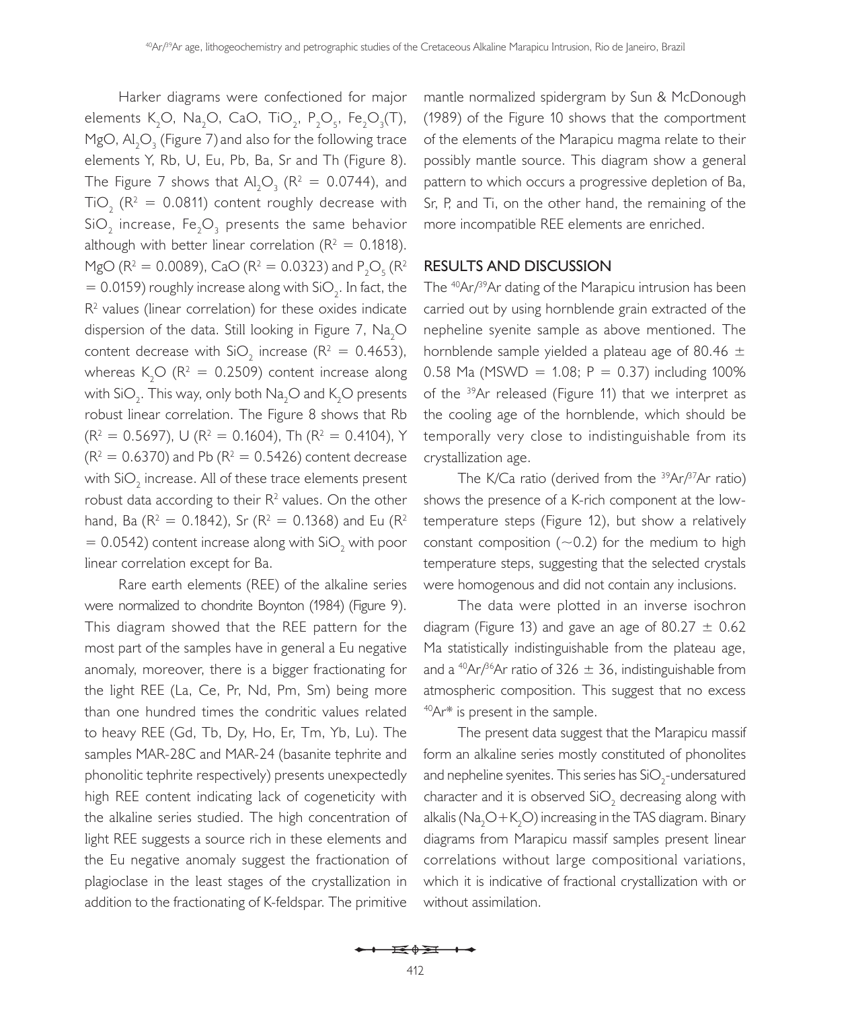Harker diagrams were confectioned for major elements K<sub>2</sub>O, Na<sub>2</sub>O, CaO, TiO<sub>2</sub>, P<sub>2</sub>O<sub>5</sub>, Fe<sub>2</sub>O<sub>3</sub>(T), MgO,  $\mathsf{Al}_2\mathsf{O}_3$  (Figure 7) and also for the following trace elements Y, Rb, U, Eu, Pb, Ba, Sr and Th (Figure 8). The Figure 7 shows that  $Al_2O_3$  ( $R^2 = 0.0744$ ), and  $\text{TiO}_2$  (R<sup>2</sup> = 0.0811) content roughly decrease with SiO<sub>2</sub> increase, Fe<sub>2</sub>O<sub>3</sub> presents the same behavior although with better linear correlation ( $R^2 = 0.1818$ ). MgO (R<sup>2</sup> = 0.0089), CaO (R<sup>2</sup> = 0.0323) and P<sub>2</sub>O<sub>5</sub> (R<sup>2</sup>) = 0.0159) roughly increase along with  $\text{SiO}_2$ . In fact, the  $R<sup>2</sup>$  values (linear correlation) for these oxides indicate dispersion of the data. Still looking in Figure 7,  $\mathsf{Na}_2\mathsf{O}$ content decrease with  $SiO_2$  increase ( $R^2 = 0.4653$ ), whereas  $K_2O$  ( $R^2 = 0.2509$ ) content increase along with SiO<sub>2</sub>. This way, only both  $\mathsf{Na}_2\mathsf{O}$  and  $\mathsf{K}_2\mathsf{O}$  presents robust linear correlation. The Figure 8 shows that Rb  $(R<sup>2</sup> = 0.5697)$ , U ( $R<sup>2</sup> = 0.1604$ ), Th ( $R<sup>2</sup> = 0.4104$ ), Y  $(R^2 = 0.6370)$  and Pb  $(R^2 = 0.5426)$  content decrease with SiO $_2$  increase. All of these trace elements present robust data according to their  $R<sup>2</sup>$  values. On the other hand, Ba (R<sup>2</sup> = 0.1842), Sr (R<sup>2</sup> = 0.1368) and Eu (R<sup>2</sup>  $= 0.0542$ ) content increase along with SiO<sub>2</sub> with poor linear correlation except for Ba.

Rare earth elements (REE) of the alkaline series were normalized to chondrite Boynton (1984) (Figure 9). This diagram showed that the REE pattern for the most part of the samples have in general a Eu negative anomaly, moreover, there is a bigger fractionating for the light REE (La, Ce, Pr, Nd, Pm, Sm) being more than one hundred times the condritic values related to heavy REE (Gd, Tb, Dy, Ho, Er, Tm, Yb, Lu). The samples MAR-28C and MAR-24 (basanite tephrite and phonolitic tephrite respectively) presents unexpectedly high REE content indicating lack of cogeneticity with the alkaline series studied. The high concentration of light REE suggests a source rich in these elements and the Eu negative anomaly suggest the fractionation of plagioclase in the least stages of the crystallization in addition to the fractionating of K-feldspar. The primitive

mantle normalized spidergram by Sun & McDonough (1989) of the Figure 10 shows that the comportment of the elements of the Marapicu magma relate to their possibly mantle source. This diagram show a general pattern to which occurs a progressive depletion of Ba, Sr, P, and Ti, on the other hand, the remaining of the more incompatible REE elements are enriched.

### **RESULTS AND DISCUSSION**

The <sup>40</sup>Ar/<sup>39</sup>Ar dating of the Marapicu intrusion has been carried out by using hornblende grain extracted of the nepheline syenite sample as above mentioned. The hornblende sample yielded a plateau age of 80.46  $\pm$ 0.58 Ma (MSWD = 1.08;  $P = 0.37$ ) including 100% of the 39Ar released (Figure 11) that we interpret as the cooling age of the hornblende, which should be temporally very close to indistinguishable from its crystallization age.

The K/Ca ratio (derived from the  $39Ar/37Ar$  ratio) shows the presence of a K-rich component at the lowtemperature steps (Figure 12), but show a relatively constant composition  $(\sim 0.2)$  for the medium to high temperature steps, suggesting that the selected crystals were homogenous and did not contain any inclusions.

The data were plotted in an inverse isochron diagram (Figure 13) and gave an age of 80.27  $\pm$  0.62 Ma statistically indistinguishable from the plateau age, and a <sup>40</sup>Ar/<sup>36</sup>Ar ratio of 326  $\pm$  36, indistinguishable from atmospheric composition. This suggest that no excess  $40Ar*$  is present in the sample.

The present data suggest that the Marapicu massif form an alkaline series mostly constituted of phonolites and nepheline syenites. This series has SiO $_2$ -undersatured character and it is observed SiO<sub>2</sub> decreasing along with alkalis (Na $_{2}$ O $+$ K $_{2}$ O) increasing in the TAS diagram. Binary diagrams from Marapicu massif samples present linear correlations without large compositional variations, which it is indicative of fractional crystallization with or without assimilation.

 $\mathbf{H} \rightarrow \mathbf{H}$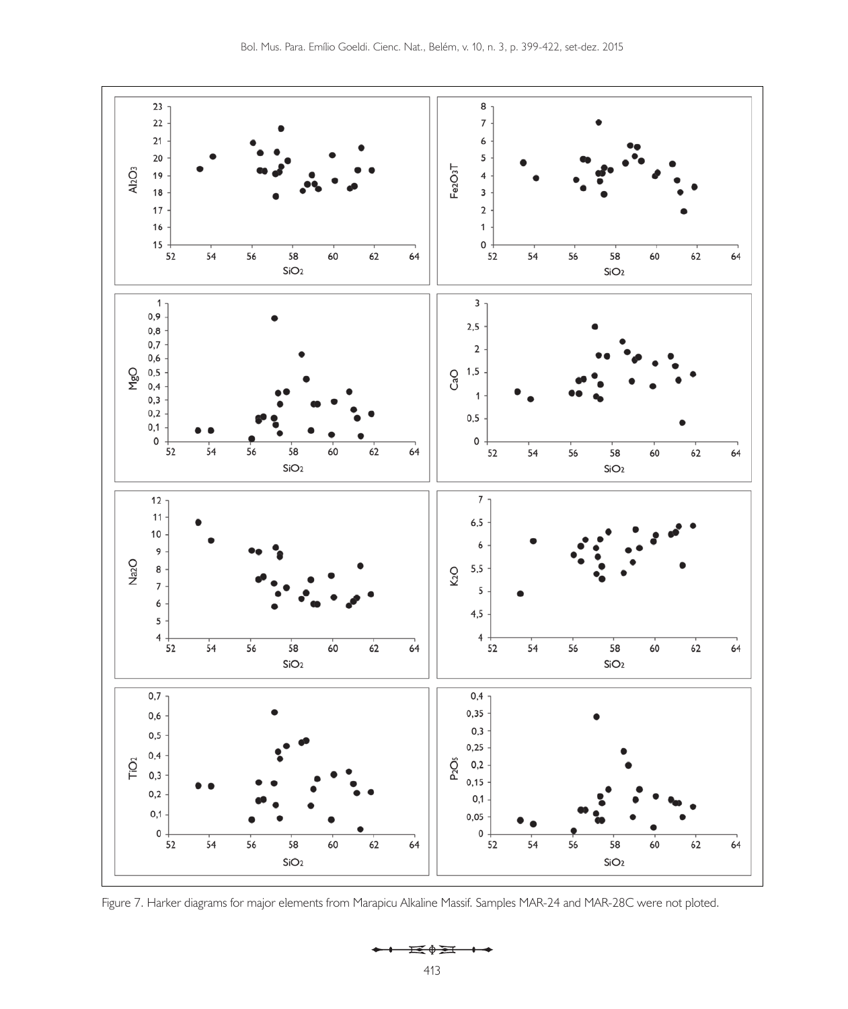

Figure 7. Harker diagrams for major elements from Marapicu Alkaline Massif. Samples MAR-24 and MAR-28C were not ploted.

 $\mathbf{H} \rightarrow \mathbf{H}$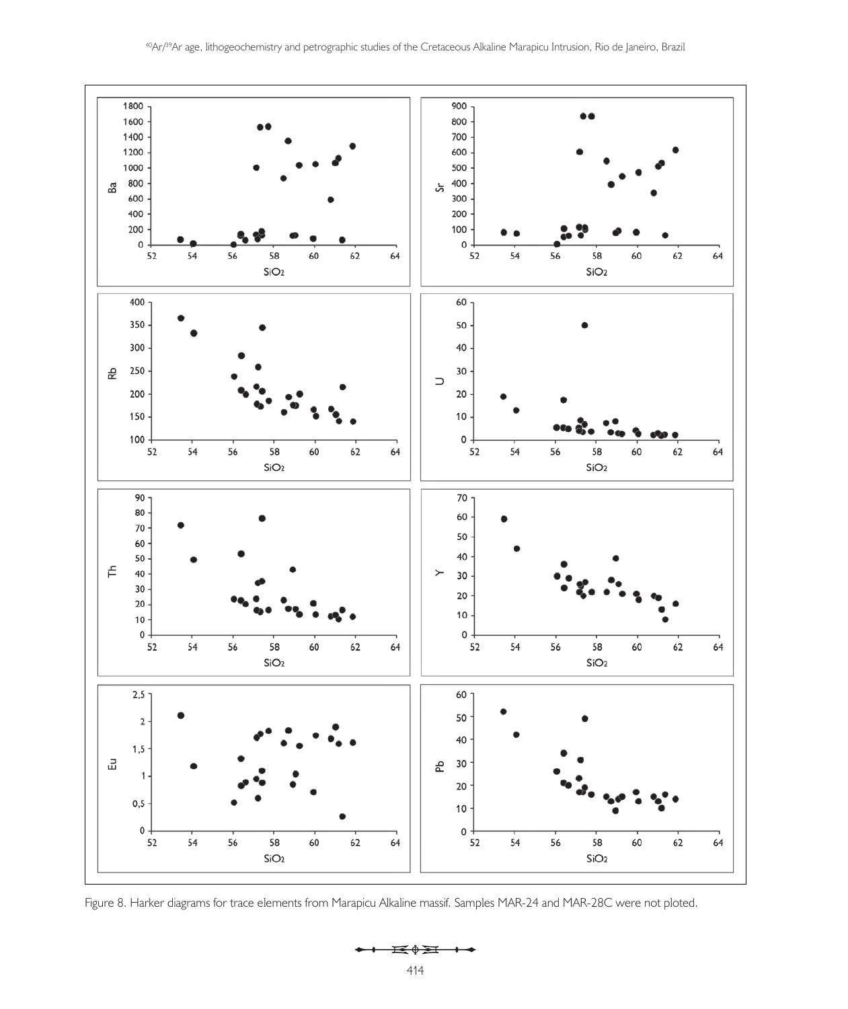



 $\mathbf{H} \rightarrow \mathbf{H}$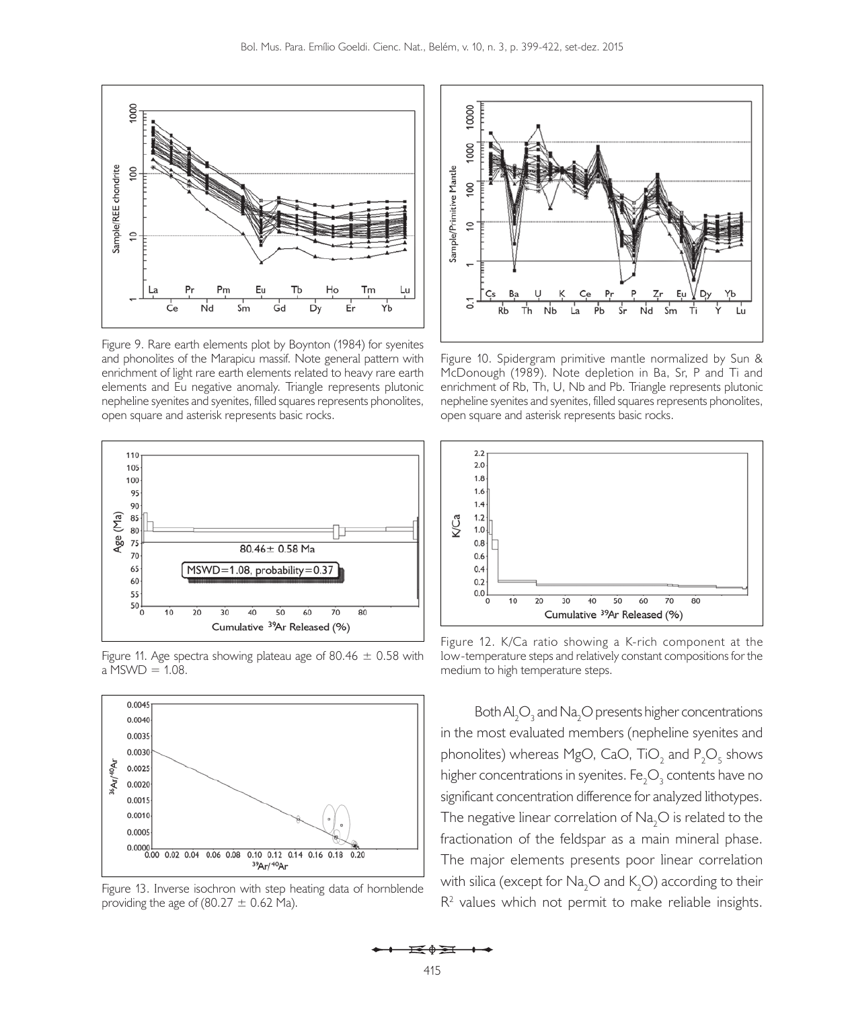

Figure 9. Rare earth elements plot by Boynton (1984) for syenites and phonolites of the Marapicu massif. Note general pattern with enrichment of light rare earth elements related to heavy rare earth elements and Eu negative anomaly. Triangle represents plutonic nepheline syenites and syenites, filled squares represents phonolites, open square and asterisk represents basic rocks.



Figure 11. Age spectra showing plateau age of 80.46  $\pm$  0.58 with  $a$  MSWD = 1.08.



Figure 13. Inverse isochron with step heating data of hornblende providing the age of  $(80.27 \pm 0.62 \text{ Ma})$ .



Figure 10. Spidergram primitive mantle normalized by Sun & McDonough (1989). Note depletion in Ba, Sr, P and Ti and enrichment of Rb, Th, U, Nb and Pb. Triangle represents plutonic nepheline syenites and syenites, filled squares represents phonolites, open square and asterisk represents basic rocks.



Figure 12. K/Ca ratio showing a K-rich component at the low-temperature steps and relatively constant compositions for the medium to high temperature steps.

Both  $\mathsf{Al}_2\mathsf{O}_3$  and  $\mathsf{Na}_2\mathsf{O}$  presents higher concentrations in the most evaluated members (nepheline syenites and phonolites) whereas MgO, CaO, TiO $_2$  and  $\mathsf{P}_2\mathsf{O}_5$  shows higher concentrations in syenites. Fe $_{2} \mathrm{O}_{3}$  contents have no significant concentration difference for analyzed lithotypes. The negative linear correlation of  $\text{Na}\xspace_{2}\text{O}$  is related to the fractionation of the feldspar as a main mineral phase. The major elements presents poor linear correlation with silica (except for  $\mathsf{Na}_2\mathsf{O}$  and  $\mathsf{K}_2\mathsf{O}$ ) according to their  $R<sup>2</sup>$  values which not permit to make reliable insights.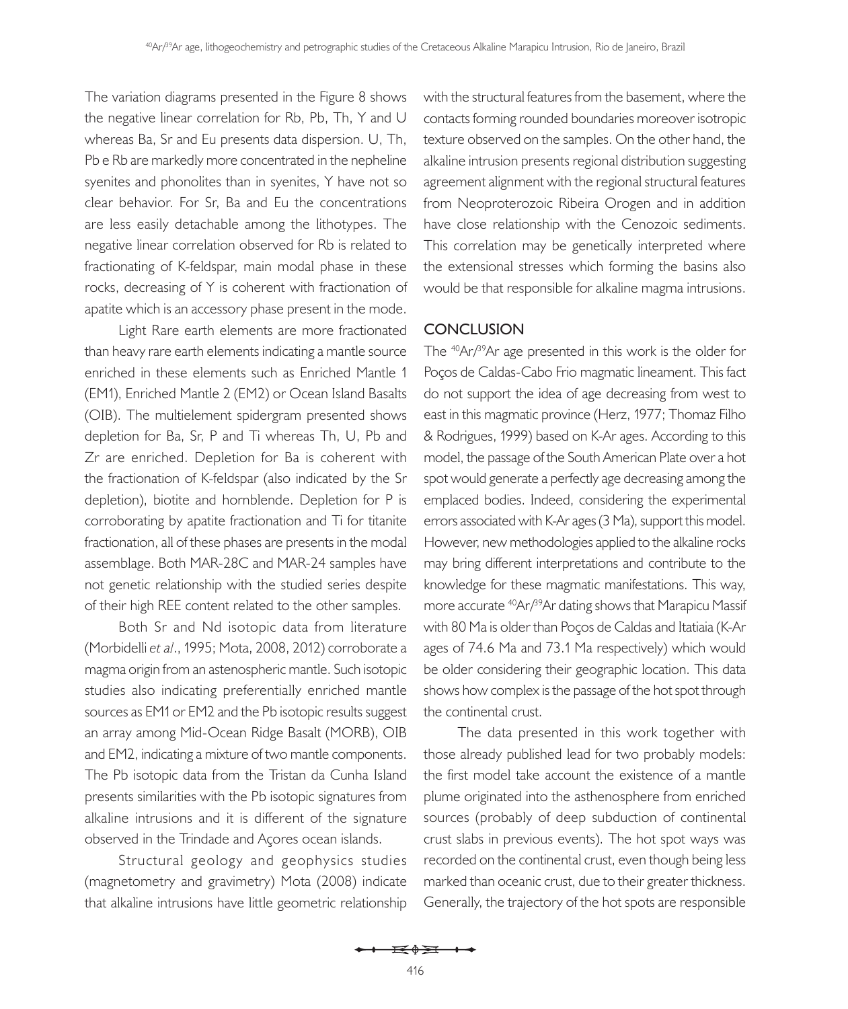The variation diagrams presented in the Figure 8 shows the negative linear correlation for Rb, Pb, Th, Y and U whereas Ba, Sr and Eu presents data dispersion. U, Th, Pb e Rb are markedly more concentrated in the nepheline syenites and phonolites than in syenites, Y have not so clear behavior. For Sr, Ba and Eu the concentrations are less easily detachable among the lithotypes. The negative linear correlation observed for Rb is related to fractionating of K-feldspar, main modal phase in these rocks, decreasing of Y is coherent with fractionation of apatite which is an accessory phase present in the mode.

Light Rare earth elements are more fractionated than heavy rare earth elements indicating a mantle source enriched in these elements such as Enriched Mantle 1 (EM1), Enriched Mantle 2 (EM2) or Ocean Island Basalts (OIB). The multielement spidergram presented shows depletion for Ba, Sr, P and Ti whereas Th, U, Pb and Zr are enriched. Depletion for Ba is coherent with the fractionation of K-feldspar (also indicated by the Sr depletion), biotite and hornblende. Depletion for P is corroborating by apatite fractionation and Ti for titanite fractionation, all of these phases are presents in the modal assemblage. Both MAR-28C and MAR-24 samples have not genetic relationship with the studied series despite of their high REE content related to the other samples.

Both Sr and Nd isotopic data from literature (Morbidelli *et al*., 1995; Mota, 2008, 2012) corroborate a magma origin from an astenospheric mantle. Such isotopic studies also indicating preferentially enriched mantle sources as EM1 or EM2 and the Pb isotopic results suggest an array among Mid-Ocean Ridge Basalt (MORB), OIB and EM2, indicating a mixture of two mantle components. The Pb isotopic data from the Tristan da Cunha Island presents similarities with the Pb isotopic signatures from alkaline intrusions and it is different of the signature observed in the Trindade and Açores ocean islands.

Structural geology and geophysics studies (magnetometry and gravimetry) Mota (2008) indicate that alkaline intrusions have little geometric relationship

with the structural features from the basement, where the contacts forming rounded boundaries moreover isotropic texture observed on the samples. On the other hand, the alkaline intrusion presents regional distribution suggesting agreement alignment with the regional structural features from Neoproterozoic Ribeira Orogen and in addition have close relationship with the Cenozoic sediments. This correlation may be genetically interpreted where the extensional stresses which forming the basins also would be that responsible for alkaline magma intrusions.

## **CONCLUSION**

The  $40Ar/39Ar$  age presented in this work is the older for Poços de Caldas-Cabo Frio magmatic lineament. This fact do not support the idea of age decreasing from west to east in this magmatic province (Herz, 1977; Thomaz Filho & Rodrigues, 1999) based on K-Ar ages. According to this model, the passage of the South American Plate over a hot spot would generate a perfectly age decreasing among the emplaced bodies. Indeed, considering the experimental errors associated with K-Ar ages (3 Ma), support this model. However, new methodologies applied to the alkaline rocks may bring different interpretations and contribute to the knowledge for these magmatic manifestations. This way, more accurate <sup>40</sup>Ar/<sup>39</sup>Ar dating shows that Marapicu Massif with 80 Ma is older than Poços de Caldas and Itatiaia (K-Ar ages of 74.6 Ma and 73.1 Ma respectively) which would be older considering their geographic location. This data shows how complex is the passage of the hot spot through the continental crust.

The data presented in this work together with those already published lead for two probably models: the first model take account the existence of a mantle plume originated into the asthenosphere from enriched sources (probably of deep subduction of continental crust slabs in previous events). The hot spot ways was recorded on the continental crust, even though being less marked than oceanic crust, due to their greater thickness. Generally, the trajectory of the hot spots are responsible

 $\mathbf{E} \oplus \mathbf{H}$   $\rightarrow$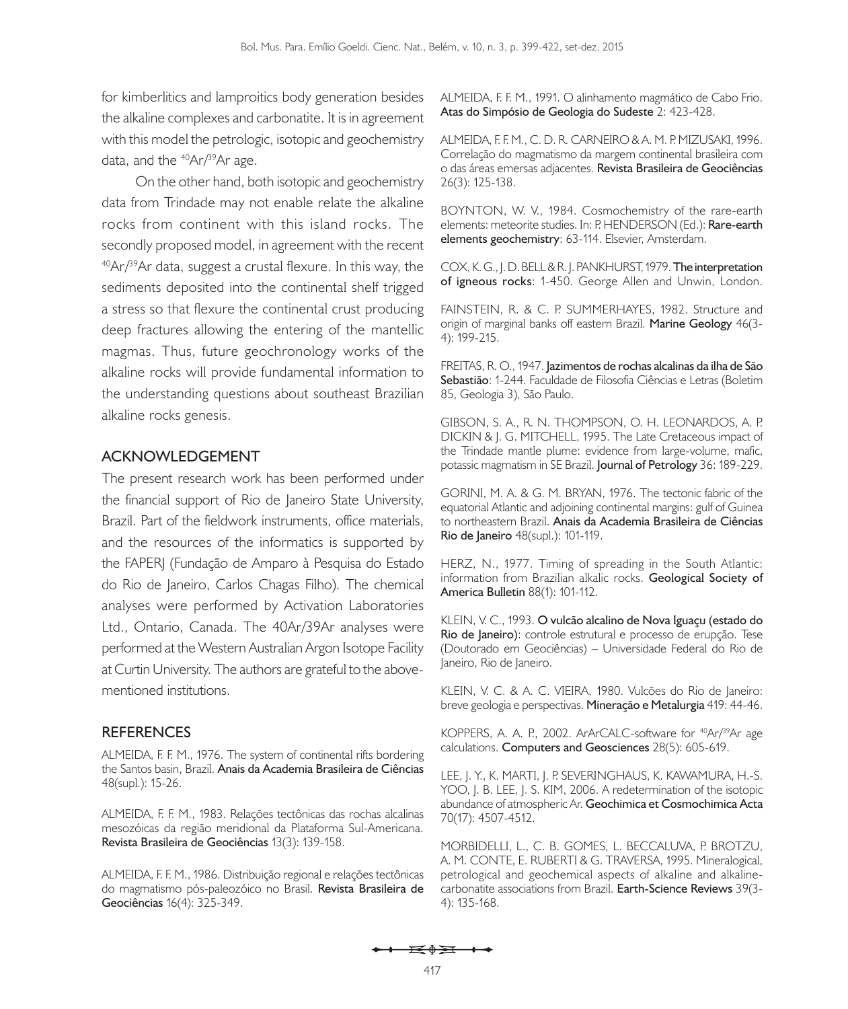for kimberlitics and lamproitics body generation besides the alkaline complexes and carbonatite. It is in agreement with this model the petrologic, isotopic and geochemistry data, and the  $^{40}Ar/^{39}Ar$  age.

On the other hand, both isotopic and geochemistry data from Trindade may not enable relate the alkaline rocks from continent with this island rocks. The secondly proposed model, in agreement with the recent  $40Ar^3$ <sup>9</sup>Ar data, suggest a crustal flexure. In this way, the sediments deposited into the continental shelf trigged a stress so that flexure the continental crust producing deep fractures allowing the entering of the mantellic magmas. Thus, future geochronology works of the alkaline rocks will provide fundamental information to the understanding questions about southeast Brazilian alkaline rocks genesis.

#### **Acknowledgement**

The present research work has been performed under the financial support of Rio de Janeiro State University, Brazil. Part of the fieldwork instruments, office materials, and the resources of the informatics is supported by the FAPERJ (Fundação de Amparo à Pesquisa do Estado do Rio de Janeiro, Carlos Chagas Filho). The chemical analyses were performed by Activation Laboratories Ltd., Ontario, Canada. The 40Ar/39Ar analyses were performed at the Western Australian Argon Isotope Facility at Curtin University. The authors are grateful to the abovementioned institutions.

# **REFERENCES**

ALMEIDA, F. F. M., 1976. The system of continental rifts bordering the Santos basin, Brazil. **Anais da Academia Brasileira de Ciências** 48(supl.): 15-26.

ALMEIDA, F. F. M., 1983. Relações tectônicas das rochas alcalinas mesozóicas da região meridional da Plataforma Sul-Americana. **Revista Brasileira de Geociências** 13(3): 139-158.

ALMEIDA, F. F. M., 1986. Distribuição regional e relações tectônicas do magmatismo pós-paleozóico no Brasil. **Revista Brasileira de Geociências** 16(4): 325-349.

ALMEIDA, F. F. M., 1991. O alinhamento magmático de Cabo Frio. **Atas do Simpósio de Geologia do Sudeste** 2: 423-428.

ALMEIDA, F. F. M., C. D. R. CARNEIRO & A. M. P. MIZUSAKI, 1996. Correlação do magmatismo da margem continental brasileira com o das áreas emersas adjacentes. **Revista Brasileira de Geociências** 26(3): 125-138.

BOYNTON, W. V., 1984. Cosmochemistry of the rare-earth elements: meteorite studies. In: P. HENDERSON (Ed.): **Rare-earth elements geochemistry**: 63-114. Elsevier, Amsterdam.

COX, K. G., J. D. BELL & R. J. PANKHURST, 1979. **The interpretation of igneous rocks**: 1-450. George Allen and Unwin, London.

FAINSTEIN, R. & C. P. SUMMERHAYES, 1982. Structure and origin of marginal banks off eastern Brazil. **Marine Geology** 46(3- 4): 199-215.

FREITAS, R. O., 1947. **Jazimentos de rochas alcalinas da ilha de São Sebastião**: 1-244. Faculdade de Filosofia Ciências e Letras (Boletim 85, Geologia 3), São Paulo.

GIBSON, S. A., R. N. THOMPSON, O. H. LEONARDOS, A. P. DICKIN & J. G. MITCHELL, 1995. The Late Cretaceous impact of the Trindade mantle plume: evidence from large-volume, mafic, potassic magmatism in SE Brazil. **Journal of Petrology** 36: 189-229.

GORINI, M. A. & G. M. BRYAN, 1976. The tectonic fabric of the equatorial Atlantic and adjoining continental margins: gulf of Guinea to northeastern Brazil. **Anais da Academia Brasileira de Ciências Rio de Janeiro** 48(supl.): 101-119.

HERZ, N., 1977. Timing of spreading in the South Atlantic: information from Brazilian alkalic rocks. **Geological Society of America Bulletin** 88(1): 101-112.

KLEIN, V. C., 1993. **O vulcão alcalino de Nova Iguaçu (estado do Rio de Janeiro)**: controle estrutural e processo de erupção. Tese (Doutorado em Geociências) – Universidade Federal do Rio de Janeiro, Rio de Janeiro.

KLEIN, V. C. & A. C. VIEIRA, 1980. Vulcões do Rio de Janeiro: breve geologia e perspectivas. **Mineração e Metalurgia** 419: 44-46.

KOPPERS, A. A. P., 2002. ArArCALC-software for <sup>40</sup>Ar/<sup>39</sup>Ar age calculations. **Computers and Geosciences** 28(5): 605-619.

LEE, J. Y., K. MARTI, J. P. SEVERINGHAUS, K. KAWAMURA, H.-S. YOO, J. B. LEE, J. S. KIM, 2006. A redetermination of the isotopic abundance of atmospheric Ar. **Geochimica et Cosmochimica Acta** 70(17): 4507-4512.

MORBIDELLI, L., C. B. GOMES, L. BECCALUVA, P. BROTZU, A. M. CONTE, E. RUBERTI & G. TRAVERSA, 1995. Mineralogical, petrological and geochemical aspects of alkaline and alkalinecarbonatite associations from Brazil. **Earth-Science Reviews** 39(3- 4): 135-168.

 $\overrightarrow{=}$   $\overrightarrow{0}$   $\overrightarrow{2}$   $\overrightarrow{1}$   $\overrightarrow{0}$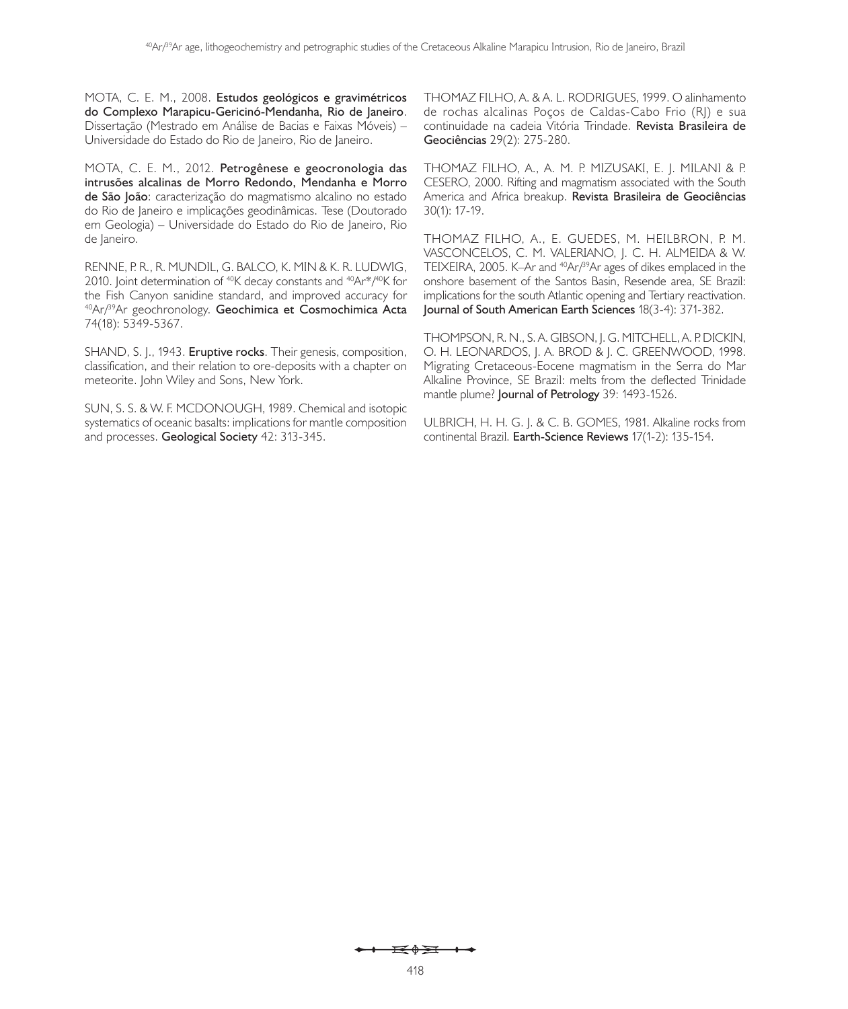MOTA, C. E. M., 2008. **Estudos geológicos e gravimétricos do Complexo Marapicu-Gericinó-Mendanha, Rio de Janeiro**. Dissertação (Mestrado em Análise de Bacias e Faixas Móveis) – Universidade do Estado do Rio de Janeiro, Rio de Janeiro.

MOTA, C. E. M., 2012. **Petrogênese e geocronologia das intrusões alcalinas de Morro Redondo, Mendanha e Morro de São João**: caracterização do magmatismo alcalino no estado do Rio de Janeiro e implicações geodinâmicas. Tese (Doutorado em Geologia) – Universidade do Estado do Rio de Janeiro, Rio de Janeiro.

RENNE, P. R., R. MUNDIL, G. BALCO, K. MIN & K. R. LUDWIG, 2010. Joint determination of <sup>40</sup>K decay constants and <sup>40</sup>Ar\*/<sup>40</sup>K for the Fish Canyon sanidine standard, and improved accuracy for 40Ar/39Ar geochronology. **Geochimica et Cosmochimica Acta** 74(18): 5349-5367.

SHAND, S. J., 1943. **Eruptive rocks**. Their genesis, composition, classification, and their relation to ore-deposits with a chapter on meteorite. John Wiley and Sons, New York.

SUN, S. S. & W. F. MCDONOUGH, 1989. Chemical and isotopic systematics of oceanic basalts: implications for mantle composition and processes. **Geological Society** 42: 313-345.

THOMAZ FILHO, A. & A. L. RODRIGUES, 1999. O alinhamento de rochas alcalinas Poços de Caldas-Cabo Frio (RJ) e sua continuidade na cadeia Vitória Trindade. **Revista Brasileira de Geociências** 29(2): 275-280.

THOMAZ FILHO, A., A. M. P. MIZUSAKI, E. J. MILANI & P. CESERO, 2000. Rifting and magmatism associated with the South America and Africa breakup. **Revista Brasileira de Geociências** 30(1): 17-19.

THOMAZ FILHO, A., E. GUEDES, M. HEILBRON, P. M. VASCONCELOS, C. M. VALERIANO, J. C. H. ALMEIDA & W. TEIXEIRA, 2005. K-Ar and <sup>40</sup>Ar/<sup>39</sup>Ar ages of dikes emplaced in the onshore basement of the Santos Basin, Resende area, SE Brazil: implications for the south Atlantic opening and Tertiary reactivation. **Journal of South American Earth Sciences** 18(3-4): 371-382.

THOMPSON, R. N., S. A. GIBSON, J. G. MITCHELL, A. P. DICKIN, O. H. LEONARDOS, J. A. BROD & J. C. GREENWOOD, 1998. Migrating Cretaceous-Eocene magmatism in the Serra do Mar Alkaline Province, SE Brazil: melts from the deflected Trinidade mantle plume? **Journal of Petrology** 39: 1493-1526.

ULBRICH, H. H. G. J. & C. B. GOMES, 1981. Alkaline rocks from continental Brazil. **Earth-Science Reviews** 17(1-2): 135-154.

#### $\overrightarrow{=}$   $\overrightarrow{0}$   $\overrightarrow{2}$   $\overrightarrow{1}$   $\overrightarrow{0}$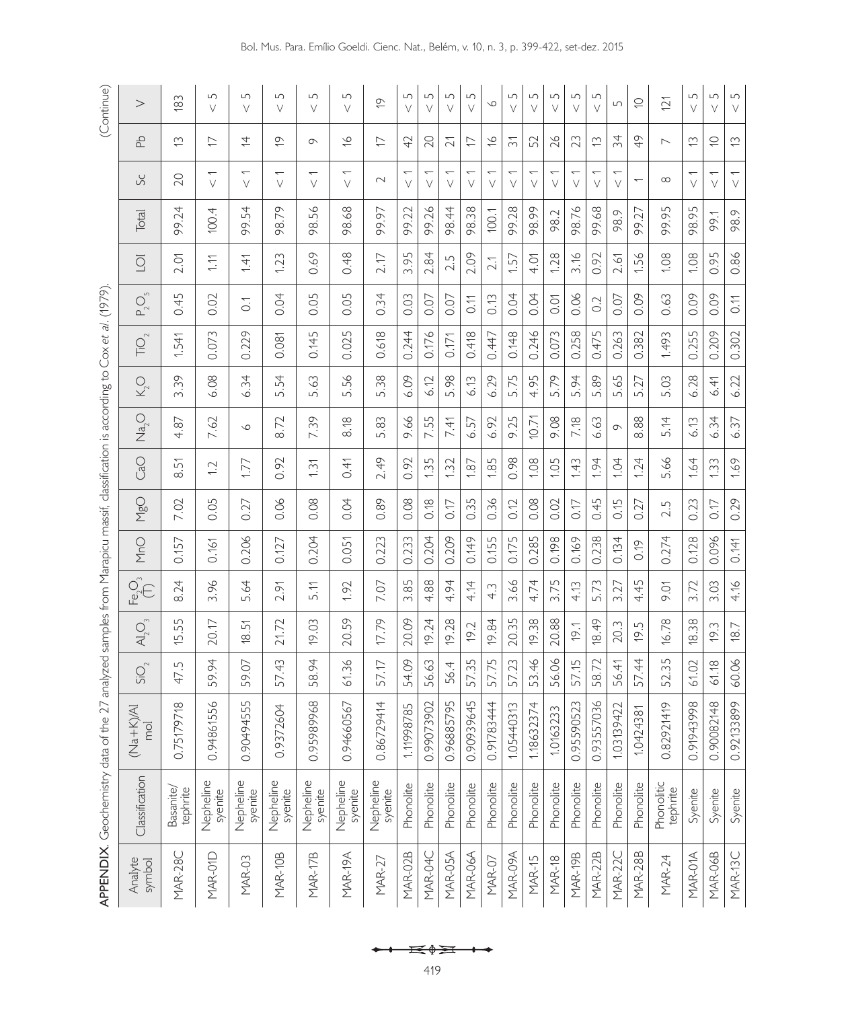|                   | <b>APPENDIX.</b> Geochemistry data of the |                           | 27 analyzed samples from Marapicu massif, classification is according to Cox et al. (1979). |                                |                                      |       |            |                |                    |         |                                    |         |                         |              |                                    |                           | (Continue)                 |
|-------------------|-------------------------------------------|---------------------------|---------------------------------------------------------------------------------------------|--------------------------------|--------------------------------------|-------|------------|----------------|--------------------|---------|------------------------------------|---------|-------------------------|--------------|------------------------------------|---------------------------|----------------------------|
| Analyte<br>symbol | Classification                            | 又<br>$(Na + K)$<br>mol    | $SO_{2}$                                                                                    | $\bigwedge_{2}$ $\bigcirc_{3}$ | $\overline{F^{\mathsf{p}}_{2}O_{3}}$ | MnO   | <b>MgO</b> | CaO            | $\mathrm{Na_{2}O}$ | $K_2^O$ | $\overline{\Gamma}$ O <sub>2</sub> | $P_2^S$ | $\overline{\mathrm{O}}$ | <b>Total</b> | Sc                                 | 움                         | >                          |
| MAR-28C           | Basanite <sub>/</sub><br>tephrite         | $\frac{8}{2}$<br>0.751797 | 47.5                                                                                        | 55<br>$\overline{5}$ .         | 8.24                                 | 0.157 | 7.02       | 8.51           | 4.87               | 3.39    | 1.541                              | 0.45    | 2.01                    | 99.24        | 20                                 | $\widetilde{\omega}$      | $\frac{83}{2}$             |
| MAR-01D           | Nepheline<br>syenite                      | 0.94861556                | 59.94                                                                                       | 20.17                          | 3.96                                 | 0.161 | 0.05       | $\overline{1}$ | 7.62               | 6.08    | 0.073                              | 0.02    | 1.11                    | 100.4        | $\overline{\phantom{0}}$<br>$\vee$ | レ                         | $\Box$<br>$\vee$           |
| MAR-03            | Nepheline<br>syenite                      | 0.90494555                | 59.07                                                                                       | 18.51                          | 5.64                                 | 0.206 | 0.27       | 1.77           | $\circ$            | 6.34    | 0.229                              | $\sum$  | 1.41                    | 99.54        | $\overline{\phantom{0}}$<br>$\vee$ | 与                         | $\Box$<br>$\vee$           |
| MAR-10B           | Nepheline<br>syenite                      | 0.9372604                 | 57.43                                                                                       | 21.72                          | 2.91                                 | 0.127 | 0.06       | 0.92           | 8.72               | 5.54    | 0.081                              | 0.04    | 1.23                    | 98.79        | $\overline{\phantom{0}}$<br>$\vee$ | Ó                         | $\Box$<br>$\vee$           |
| MAR-17B           | Nepheline<br>syenite                      | 0.95989968                | 58.94                                                                                       | 19.03                          | 5.11                                 | 0.204 | 0.08       | 1.31           | 7.39               | 5.63    | 0.145                              | 0.05    | 0.69                    | 56.<br>98.   | $\overline{\phantom{0}}$<br>$\vee$ | $\sigma$                  | $\Box$<br>$\vee$           |
| MAR-19A           | Nepheline<br>syenite                      | 0.94660567                | 61.36                                                                                       | 20.59                          | 1.92                                 | 0.051 | 0.04       | 0.41           | 8.18               | 5.56    | 0.025                              | 0.05    | 0.48                    | 98.68        | $\overline{\phantom{0}}$<br>$\vee$ | $\frac{8}{5}$             | $\Box$<br>$\vee$           |
| <b>MAR-27</b>     | Nepheline<br>syenite                      | 0.86729414                | 57.17                                                                                       | 17.79                          | 7.07                                 | 0.223 | 0.89       | 2.49           | 5.83               | 5.38    | 0.618                              | 0.34    | 2.17                    | 99.97        | $\sim$                             | レ                         | $\overline{Q}$             |
| MAR-02B           | Phonolite                                 | 1.11998785                | 54.09                                                                                       | 20.09                          | 3.85                                 | 0.233 | 0.08       | 0.92           | 9.66               | 6.09    | 0.244                              | 0.03    | 3.95                    | 99.22        | ↽<br>$\vee$                        | 42                        | $\Box$<br>$\vee$           |
| MAR-04C           | Phonolite                                 | 0.99073902                | 56.63                                                                                       | 19.24                          | 4.88                                 | 0.204 | 0.18       | 1.35           | 7.55               | 6.12    | 0.176                              | 0.07    | 2.84                    | 99.26        | $\vee$                             | 20                        | $\Box$<br>$\vee$           |
| MAR-05A           | Phonolite                                 | 95<br>0.968857            | 56.4                                                                                        | 19.28                          | 4.94                                 | 0.209 | 0.17       | 1.32           | 7.41               | 5.98    | 0.171                              | 0.07    | 2.5                     | 98.44        | $\overline{}$<br>$\vee$            | $\geq$                    | $\Box$<br>$\vee$           |
| MAR-06A           | Phonolite                                 | 0.90939645                | 57.35                                                                                       | 19.2                           | 4.14                                 | 0.149 | 0.35       | 1.87           | 6.57               | 6.13    | 0.418                              | 0.11    | 2.09                    | 98.38        | $\vee$                             | ₽                         | $\Box$<br>$\vee$           |
| MAR-07            | Phonolite                                 | 0.91783444                | 57.75                                                                                       | 19.84                          | 4.3                                  | 0.155 | 0.36       | 1.85           | 6.92               | 6.29    | 0.447                              | 0.13    | 2.1                     | 100.1        | $\overline{\phantom{0}}$<br>$\vee$ | $\widetilde{\phantom{a}}$ | $\circ$                    |
| MAR-09A           | Phonolite                                 | 1.05440313                | 57.23                                                                                       | 20.35                          | 3.66                                 | 0.175 | 0.12       | 0.98           | 9.25               | 5.75    | 0.148                              | 0.04    | 1.57                    | 99.28        | $\vee$                             | $\overline{5}$            | $\Box$<br>$\vee$           |
| <b>MAR-15</b>     | Phonolite                                 | 74<br>1.186323            | 53.46                                                                                       | 19.38                          | 4.74                                 | 0.285 | 0.08       | 1.08           | 10.71              | 4.95    | 0.246                              | 0.04    | 4.01                    | 98.99        | $\overline{\phantom{0}}$<br>$\vee$ | 52                        | $\Box$<br>$\vee$           |
| <b>MAR-18</b>     | Phonolite                                 | $\sim$<br>1.016323        | 56.06                                                                                       | 20.88                          | 3.75                                 | 0.198 | 0.02       | 1.05           | 9.08               | 5.79    | 0.073                              | 0.01    | 1.28                    | 98.2         | $\vee$                             | 26                        | $\Box$<br>V                |
| MAR-19B           | Phonolite                                 | 0.95590523                | 57.15                                                                                       | 19.1                           | 4.13                                 | 0.169 | 0.17       | 1.43           | 7.18               | 5.94    | 0.258                              | 0.06    | 3.16                    | 98.76        | $\overline{\phantom{0}}$<br>$\vee$ | 23                        | $\Box$<br>V                |
| <b>MAR-22B</b>    | Phonolite                                 | 0.93557036                | 58.72                                                                                       | 18.49                          | 5.73                                 | 0.238 | 0.45       | 1.94           | 6.63               | 5.89    | 0.475                              | 0.2     | 0.92                    | 99.68        | $\vee$                             | $\widetilde{\mathbb{C}}$  | $\Box$<br>$\vee$           |
| MAR-22C           | Phonolite                                 | 22<br>1.031394            | 56.41                                                                                       | 20.3                           | 3.27                                 | 0.134 | 0.15       | 1.04           | $\circ$            | 5.65    | 0.263                              | 0.07    | 2.61                    | 98.9         | $\overline{\phantom{0}}$<br>$\vee$ | 34                        | $\sqrt{ }$                 |
| <b>MAR-28B</b>    | Phonolite                                 | 1.0424381                 | 57.44                                                                                       | 5<br>Ф.                        | 4.45                                 | 0.19  | 0.27       | 1.24           | $88$<br>∞ं         | 5.27    | 0.382                              | 0.09    | 1.56                    | 99.27        |                                    | $\frac{9}{4}$             | $\subseteq$                |
| <b>MAR-24</b>     | Phonolitic<br>tephrite                    | Ó<br>0.829214             | 52.35                                                                                       | 16.78                          | <b>P.OT</b>                          | 0.274 | 2.5        | 5.66           | 5.14               | 5.03    | 1.493                              | 0.63    | 1.08                    | 99.95        | $\infty$                           | $\overline{\phantom{0}}$  | 121                        |
| MAR-01A           | Syenite                                   | 0.91943998                | 61.02                                                                                       | 18.38                          | 3.72                                 | 0.128 | 0.23       | 1.64           | 6.13               | 6.28    | 0.255                              | 0.09    | 1.08                    | 98.95        | $\overline{\phantom{0}}$<br>$\vee$ | $\widetilde{\omega}$      | 5<br>$\vee$                |
| MAR-06B           | Syenite                                   | 0.90082148                | 61.18                                                                                       | 19.3                           | 3.03                                 | 0.096 | 0.17       | 1.33           | 6.34               | 6.41    | 0.209                              | 0.09    | 0.95                    | 99.1         | $\vee$                             | $\subseteq$               | $\mathsf{L}\cap$<br>$\vee$ |

MAR-13C Syenite | 0.92133899 | 4.16 | 0.141 | 0.141 | 0.140 | 0.37 | 6.37 | 6.37 | 6.22 | 0.302 | 0.302 | 0.302 | 0.37 | 6.22 | 0.37 | 6.22 | 0.37 | 6.22 | 0.37 | 6.22 | 0.37 | 6.22 | 0.37 | 0.37 | 0.37 | 0.37 | 0.37 | 0.3

0.29

 $0.141$ 

4.16

 $18.7$ 

60.06

0.92133899

Syenite

**MAR-13C** 

 $1.69$ 

 $\frac{5}{2}$ 

 $\widetilde{\omega}$ 

 $\sum_{i=1}^{n}$ 

98.9

0.86

 $0.11$ 

0.302

6.22

6.37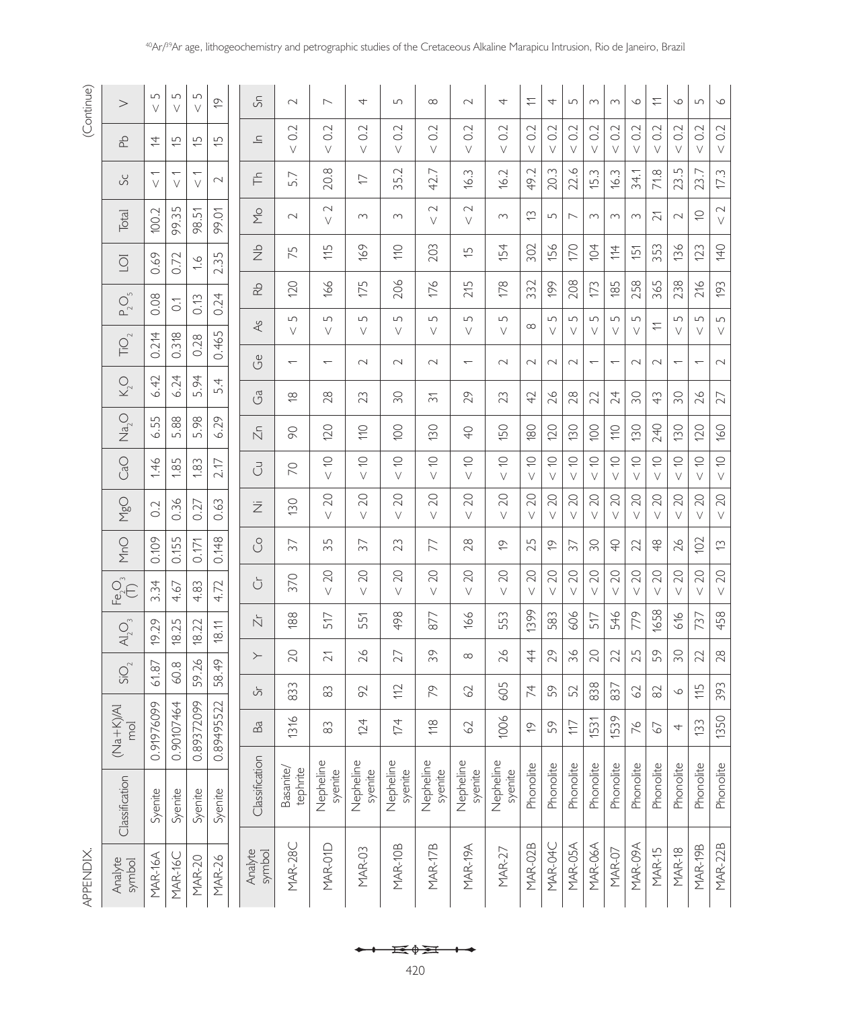# (Continue)

APPENDIX. APPENDIX.

| >                                                                         | 5<br>$\vee$          | $\sqrt{ }$<br>V  | 5<br>V                                 | Ó              | နှ                               | $\sim$                      | $\overline{\phantom{0}}$ | 4                    | 5                    | $\infty$              | $\sim$                   | 4                    | $\stackrel{\textstyle\leftharpoonup}{\textstyle\cdot}$ | 4                     | $\sqrt{ }$               | $\sim$                   | $\sim$                   | $\circ$               | $\stackrel{\textstyle\frown}{\phantom{}_{\sim}}$ | $\circ$                  | $\sqrt{ }$               | $\circ$               |
|---------------------------------------------------------------------------|----------------------|------------------|----------------------------------------|----------------|----------------------------------|-----------------------------|--------------------------|----------------------|----------------------|-----------------------|--------------------------|----------------------|--------------------------------------------------------|-----------------------|--------------------------|--------------------------|--------------------------|-----------------------|--------------------------------------------------|--------------------------|--------------------------|-----------------------|
| 움                                                                         | 4                    | $\overline{5}$   | $\overline{5}$                         | $\overline{5}$ | $\equiv$                         | 0.2<br>$\vee$               | Ņ<br>Ö<br>$\vee$         | 0.2<br>$\vee$        | 0.2<br>$\vee$        | 0.2<br>$\vee$         | 0.2<br>V                 | 0.2<br>V             | $\sim$<br>Ö<br>V                                       | $\sim$<br>Õ<br>V      | 0.2<br>$\vee$            | Ņ<br>ö<br>V              | 0.2<br>V                 | $\sim$<br>ö<br>V      | $\sim$<br>Ö<br>$\vee$                            | 0.2<br>V                 | 0.2<br>$\vee$            | 0.2<br>$\vee$         |
| Sc                                                                        | $\vee$               | $\vee$           | $\vee$                                 | $\sim$         | 득                                | 5.7                         | 20.8                     | ロ                    | Ņ<br>35.             | 42.7                  | 16.3                     | 16.2                 | 49.2                                                   | m<br>20.              | 22.6                     | S<br>€.                  | 16.3                     | 34.1                  | 71.8                                             | 5<br>23.                 | 23.7                     | 17.3                  |
| Total                                                                     | 100.2                | 99.35            | 51<br>98.                              | 99.01          | $\sum\limits_{-\infty}^{\infty}$ | $\sim$                      | $\sim$<br>$\vee$         | $\sim$               | $\sim$               | $\sim$<br>$\vee$      | $\sim$<br>$\vee$         | $\sim$               | $\widetilde{\mathbb{C}}$                               | $\Box$                | $\overline{\phantom{1}}$ | $\infty$                 | $\infty$                 | $\sim$                | $\tilde{\sim}$                                   | $\sim$                   | $\cup$                   | $\sim$<br>$\vee$      |
| $\overline{O}$                                                            | 0.69                 | 0.72             | $\frac{6}{1}$                          | 2.35           | $\frac{d}{dx}$                   | 75                          | 115                      | 169                  | $\subseteq$          | 203                   | $\overline{5}$           | 154                  | 302                                                    | 156                   | 170                      | 104                      | 114                      | $\overline{5}$        | 353                                              | 136                      | 123                      | 140                   |
| $P_2O_5$                                                                  | 0.08                 | $\overline{O}$ . | 0.13                                   | 0.24           | $\frac{1}{2}$                    | 120                         | 166                      | 175                  | 206                  | 176                   | 215                      | 178                  | 332                                                    | 199                   | 208                      | 173                      | 185                      | 258                   | 365                                              | 238                      | 216                      | 193                   |
|                                                                           |                      |                  |                                        |                | 4s                               | $\Box$<br>$\vee$            | $\Box$<br>V              | 5<br>V               | 5<br>V               | $\Box$<br>$\vee$      | 5<br>V                   | $\Box$<br>V          | $\infty$                                               | 5<br>V                | 5<br>V                   | $\Box$<br>V              | $\Box$<br>V              | $\Box$<br>$\vee$      | $\rightleftharpoons$                             | 5<br>$\vee$              | 5<br>V                   | 5<br>$\vee$           |
| $\overline{\text{TO}}_2$                                                  | 0.214                | 0.318            | 0.28                                   | 0.465          | ජී                               |                             |                          | $\sim$               | $\sim$               | $\sim$                | $\overline{\phantom{0}}$ | $\sim$               | $\sim$                                                 | $\sim$                | $\sim$                   | $\overline{\phantom{0}}$ | $\overline{\phantom{0}}$ | $\sim$                | $\sim$                                           | $\overline{\phantom{0}}$ | $\overline{\phantom{0}}$ | $\sim$                |
| $K_2^O$                                                                   | 6.42                 | 6.24             | $\overline{\mathcal{A}}$<br>$\sqrt{ }$ | 4.<br>5        | ථි                               | $\overset{\infty}{\approx}$ | 28                       | 23                   | SO                   | $\overline{5}$        | 29                       | 23                   | 42                                                     | 26                    | 28                       | 22                       | 24                       | SO                    | $\frac{1}{2}$                                    | SO                       | 26                       | 27                    |
| Na <sub>2</sub>                                                           | 6.55                 | 5.88             | 5,98                                   | 6.29           | $\overline{\Sigma}$              | 90                          | 120                      | $\frac{1}{2}$        | $\overline{O}$       | 130                   | $\overline{Q}$           | 150                  | 180                                                    | 120                   | 130                      | 100                      | $\frac{1}{10}$           | 130                   | 240                                              | 130                      | 120                      | 160                   |
| CaO                                                                       | 1.46                 | 1.85             | 1.83                                   | 2.17           | ਰੋ                               | $\overline{C}$              | $\bigcirc$<br>$\vee$     | $\bigcirc$<br>$\vee$ | $\bigcirc$<br>$\vee$ | $\subseteq$<br>$\vee$ | $\bigcirc$<br>$\vee$     | $\bigcirc$<br>$\vee$ | $\subseteq$<br>$\vee$                                  | $\subseteq$<br>$\vee$ | $\subseteq$<br>$\vee$    | $\subseteq$<br>$\vee$    | $\subseteq$<br>$\vee$    | $\subseteq$<br>$\vee$ | $\supseteq$<br>$\vee$                            | $\supseteq$<br>$\vee$    | $\bigcirc$<br>$\vee$     | $\subseteq$<br>$\vee$ |
| <b>M<sub>go</sub></b>                                                     | 0.2                  | 0.36             | 0.27                                   | 0.63           | Ξ                                | 130                         | 20<br>$\vee$             | 20<br>$\vee$         | 20<br>V              | 20<br>$\vee$          | 20<br>$\vee$             | 20<br>V              | 20<br>V                                                | 20<br>V               | 20<br>V                  | 20<br>V                  | 20<br>V                  | 20<br>$\vee$          | 20<br>V                                          | 20<br>V                  | 20<br>V                  | 20<br>$\vee$          |
| MnO                                                                       | 0.109                | 0.155            | 0.171                                  | 0.148          | S                                | 37                          | 35                       | 37                   | 23                   | 77                    | 28                       | $\overline{0}$       | 25                                                     | $\overline{0}$        | 57                       | 50                       | $\overline{Q}$           | 22                    | $\frac{8}{4}$                                    | 26                       | 102                      | $\tilde{\Xi}$         |
| $E_2^{\text{C}}E$                                                         | $\ddot{5}$<br>$\sim$ | 4.67             | 83<br>4.                               | 4.72           | Ğ                                | 370                         | 20<br>$\vee$             | 20<br>$\vee$         | 20<br>V              | 20<br>$\vee$          | 20<br>$\vee$             | 20<br>V              | 20<br>V                                                | 20<br>$\vee$          | 20<br>V                  | 20<br>$\vee$             | 20<br>V                  | 20<br>$\vee$          | 20<br>V                                          | 20<br>V                  | 20<br>V                  | 20<br>$\vee$          |
| $\mathsf{A}\hspace{-0.2em}\rule{0.7pt}{1.5em}\hspace{-0.2em}\mathsf{O}_2$ | 19.29                | 18.25            | 18.22                                  | 18.11          | Ň                                | 188                         | 517                      | 5<br>5               | 498                  | 877                   | 166                      | 553                  | 1399                                                   | 583                   | 606                      | 517                      | 546                      | 779                   | 1658                                             | 616                      | 737                      | 458                   |
|                                                                           |                      |                  |                                        |                | $\succ$                          | 20                          | $\tilde{\sim}$           | 26                   | 27                   | 39                    | $\infty$                 | 26                   | 4                                                      | 29                    | 36                       | 20                       | 22                       | 25                    | 59                                               | SO                       | 22                       | 28                    |
| $\overline{SO}_{2}$                                                       | 61.87                | 60.8             | 59.26                                  | 58.49          | Ğ                                | 833                         | 83                       | 92                   | $\approx$            | 2                     | $\Im$                    | 605                  | 74                                                     | $\sigma$<br>5         | 52                       | 838                      | 837                      | 62                    | 82                                               | $\circ$                  | 115                      | 393                   |
| $(Ma + K)$<br>mol                                                         | 099<br>0.91976       | '464<br>0.90107  | .099<br>0.89372                        | 522<br>0.89495 | Ba                               | 1316                        | $83$                     | 124                  | 174                  | $\frac{8}{16}$        | 62                       | 1006                 | $\overline{Q}$                                         | 59                    | $\overline{17}$          | 1531                     | 1539                     | 76                    | $\mathcal{L}$                                    | 4                        | 133                      | 1350                  |
|                                                                           |                      |                  |                                        |                |                                  |                             |                          |                      |                      |                       |                          |                      |                                                        |                       |                          |                          |                          |                       |                                                  |                          |                          |                       |
| Classification                                                            | Syenite              | Syenite          | Syenite                                | Syenite        | Classification                   | Basanite/<br>tephrite       | Nepheline<br>syenite     | Nepheline<br>syenite | Nepheline<br>syenite | Nepheline<br>syenite  | Nepheline<br>syenite     | Nepheline<br>syenite | Phonolite                                              | Phonolite             | Phonolite                | Phonolite                | Phonolite                | Phonolite             | Phonolite                                        | Phonolite                | Phonolite                | Phonolite             |
| Analyte<br>symbol                                                         | MAR-16A              | MAR-16C          | <b>MAR-20</b>                          | <b>MAR-26</b>  | Analyte<br>symbol                | MAR-28C                     | MAR-01D                  | MAR-03               | MAR-10B              | MAR-17B               | MAR-19A                  | <b>MAR-27</b>        | MAR-02B                                                | MAR-04C               | MAR-05A                  | MAR-06A                  | MAR-07                   | MAR-09A               | <b>MAR-15</b>                                    | <b>MAR-18</b>            | MAR-19B                  | <b>MAR-22B</b>        |

40Ar/39Ar age, lithogeochemistry and petrographic studies of the Cretaceous Alkaline Marapicu Intrusion, Rio de Janeiro, Brazil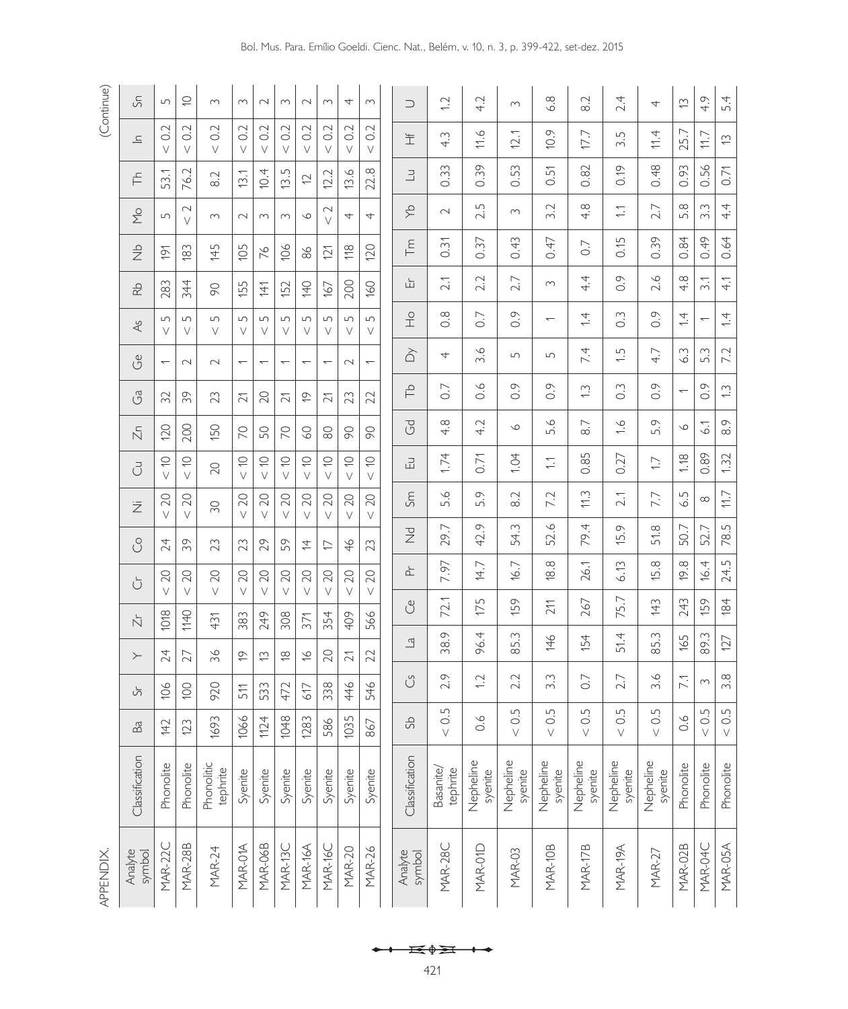| (Continue)      | နှ                               | $\overline{5}$           | S                     | $\sim$                 | S                        | $\sim$                   | $\sim$                   | $\sim$                   | $\sim$                   | 4                               | S             | $\supset$         | $\overline{C}$                  | 4.2                      | $\sim$               | 6.8                              | $\sim$<br>∞ं         | 2.4                             | 4                              | $\widetilde{\Xi}$        | 4.9                              | 5.4                        |
|-----------------|----------------------------------|--------------------------|-----------------------|------------------------|--------------------------|--------------------------|--------------------------|--------------------------|--------------------------|---------------------------------|---------------|-------------------|---------------------------------|--------------------------|----------------------|----------------------------------|----------------------|---------------------------------|--------------------------------|--------------------------|----------------------------------|----------------------------|
|                 | $\equiv$                         | 0.2<br>$\vee$            | 0.2<br>$\vee$         | 0.2<br>$\vee$          | 0.2<br>$\vee$            | 0.2<br>$\vee$            | 0.2<br>$\vee$            | 0.2<br>$\vee$            | 0.2<br>$\vee$            | 0.2<br>$\vee$                   | 0.2<br>$\vee$ | 主                 | S<br>4.                         | 11.6                     | 12.1                 | 10.9                             | 17.7                 | 5<br>$\infty$                   | 11.4                           | 25.7                     | 11.7                             | $\widetilde{\cup}$         |
|                 | 두                                | 53.1                     | 76.2                  | 8.2                    | 13.1                     | 4<br>Ö.                  | Lŋ<br>$\overline{13}$ .  | $\overline{C}$           | 12.2                     | ِص<br>$\overline{\mathfrak{S}}$ | œ<br>22.      | $\exists$         | 0.33                            | 0.39                     | 53<br>ö              | 꼬<br>ö                           | 0.82                 | 0.19                            | 0.48                           | 0.93                     | 0.56                             | 0.71                       |
|                 | $\sum\limits_{-\infty}^{\infty}$ | $\Box$                   | $\sim$<br>$\vee$      | $\sim$                 | $\sim$                   | $\sim$                   | $\sim$                   | $\infty$                 | $\sim$<br>$\vee$         | 4                               | 4             | Ą                 | $\sim$                          | LN<br>$\sim$             | $\sim$               | Ņ<br>$\infty$                    | $\infty$<br>4.       | $\sum$                          | 2.7                            | $\infty$<br>ட்           | S<br>$\sim$                      | 4.4                        |
|                 | $\frac{d}{dx}$                   | $\frac{5}{2}$            | 183                   | 145                    | 105                      | 76                       | 106                      | 86                       | 121                      | 18                              | 120           | 下                 | $\widetilde{\gamma}$<br>ö       | 0.37                     | 0.43                 | 0.47                             | $\overline{0}$ .     | 0.15                            | 0.39                           | 0.84                     | 0.49                             | 0.64                       |
|                 | $\frac{1}{2}$                    | 283                      | 344                   | 90                     | 155                      | $\overline{41}$          | 152                      | 140                      | 167                      | 200                             | 160           | ய்                | 2.1                             | Ņ<br>$\sim$              | 2.7                  | $\sim$                           | 4.4                  | $\circ$<br>ö                    | $\circ$<br>$\sim$              | $\infty$<br>4.           | 3.1                              | 4.1                        |
|                 | $\lambda$ s                      | 5<br>V                   | $\Box$<br>V           | 5<br>V                 | 5<br>V                   | $\Box$<br>V              | $\Box$<br>V              | 5<br>$\vee$              | $\Box$<br>V              | 5<br>V                          | 5<br>V        | $\frac{1}{2}$     | $\infty$<br>ö                   | 0.7                      | $\overline{O}$ .     | $\overline{\phantom{m}}$         | $\overline{4}$       | $\frac{3}{2}$                   | $\circ$ .                      | $\overline{4}$           | $\overline{\phantom{0}}$         | $\overline{4}$             |
|                 | ථ                                | $\overline{\phantom{0}}$ | $\sim$                | $\sim$                 | $\overline{\phantom{0}}$ | $\overline{\phantom{0}}$ | $\overline{\phantom{0}}$ | $\overline{\phantom{0}}$ | $\overline{\phantom{0}}$ | $\sim$                          | $\leftarrow$  | $\hat{\triangle}$ | 4                               | $\circ$<br>$\sim$        | $\Box$               | $\Box$                           | 7.4                  | $\ddot{ }$ .                    | 4.7                            | W<br>Ö                   | 5.3                              | 7.2                        |
|                 | ෆී                               | 32                       | 39                    | 23                     | $\widetilde{\sim}$       | 20                       | $\widetilde{\sim}$       | $\overline{6}$           | $\tilde{\sim}$           | 23                              | 22            | 익                 | 0.7                             | $0.\dot{6}$              | $\overline{O}$ .     | $0.\overline{9}$                 | $\tilde{C}$          | $\frac{3}{2}$                   | $\circ$ .                      | $\overline{\phantom{0}}$ | 0.9                              | $\frac{1}{2}$              |
|                 | $\bar{\mathbb{N}}$               | 120                      | 200                   | 150                    | $\approx$                | SO                       | $\approx$                | $\odot$                  | $\odot$                  | $\infty$                        | 90            | $\overline{G}$    | œ<br>4.                         | 4.2                      | $\infty$             | 5.6                              | $\overline{8.7}$     | $\widetilde{\zeta}$             | 5.9                            | $\infty$                 | $\widetilde{\circ}$              | 8.9                        |
|                 | ਰੋ                               | $\subseteq$<br>$\vee$    | $\subseteq$<br>$\vee$ | $\overline{C}$         | $\subseteq$<br>$\vee$    | $\subseteq$<br>$\vee$    | $\subseteq$<br>$\vee$    | $\subseteq$<br>$\vee$    | $\subseteq$<br>$\vee$    | $\subseteq$<br>$\vee$           | $\cup$<br>V   | 모                 | 1.74                            | 0.71                     | 1.04                 | $\overline{\phantom{a}}$         | 85<br>ं              | 0.27                            | $\overline{1}$ .               | 1.18                     | 0.89                             | 1.32                       |
|                 | Ż                                | 20<br>V                  | 20<br>$\vee$          | SO.                    | 20<br>V                  | 20<br>$\vee$             | 20<br>V                  | 20<br>$\vee$             | 20<br>V                  | 20<br>$\vee$                    | 20<br>V       | Sm                | $\infty$<br>ഗ്                  | 5.9                      | 8.2                  | 7.2                              | 11.3                 | 2.1                             | 7.7                            | Lŋ<br>نې<br>ف            | $\infty$                         | 117                        |
|                 | S                                | 24                       | 39                    | 23                     | 23                       | 29                       | 59                       | $\overline{4}$           | $\overline{\phantom{0}}$ | 46                              | 23            | $\overline{z}$    | r.<br>29                        | $\circ$<br>42            | W<br>54.             | $\circlearrowright$<br>52.       | 4<br>79.             | $\circ$<br>$\overline{5}$       | 51.8                           | $\overline{ }$<br>50.    | 52.7                             | 78.5                       |
|                 | Ŭ                                | 20<br>V                  | 20<br>$\vee$          | 20<br>$\vee$           | 20<br>$\vee$             | 20<br>$\vee$             | 20<br>$\vee$             | 20<br>$\vee$             | 20                       | 20<br>$\vee$                    | 20            | ՟                 | 16.<br>$\overline{\phantom{0}}$ | 14.7                     | 16.7                 | 18.8                             | 26.1                 | 6.13                            | $\infty$<br>$\overline{5}$ .   | $\infty$<br><u>ф</u>     | 16.4                             | 24.5                       |
|                 | Ň                                | 1018                     | 1140                  | 431                    | 383                      | 249                      | 308                      | 371                      | $\vee$<br>354            | 409                             | V<br>566      | ථ                 | $\overline{\phantom{0}}$<br>72. | LN.<br>$\overline{\Box}$ | 159                  | 211                              | 267                  | 5.7<br>$\overline{\phantom{0}}$ | 143                            | 243                      | 159                              | 184                        |
|                 | $\succ$                          | 24                       | $\overline{27}$       | 36                     | $\overline{C}$           | ⇔                        | $\frac{\infty}{\infty}$  | $\frac{9}{5}$            | 20                       | $\overline{2}$                  | 22            | $\Xi$             | $\circ$<br>38.                  | 96.4                     | $\sim$<br>85.        | 146                              | 154                  | 51.4                            | S<br>85.                       | 165                      | 89.3                             | 127                        |
|                 | Ğ                                | 106                      | $\overline{100}$      | 920                    | 511                      | 533                      | 472                      | 617                      | 338                      | 446                             | 546           | Ű                 | 2.9                             | $\overline{1}$ .         | 2.2                  | Ŵ<br>$\sim$                      | $\overline{0}$ .     | 2.7                             | ِ<br>$\sim$                    | 7.1                      | $\sim$                           | $3.\overline{8}$           |
|                 | Ba                               | 142                      | 123                   | 1693                   | 1066                     | 1124                     | 1048                     | 1283                     | 586                      | 1035                            | 867           | 9S                | 5<br>$\circ$                    | $0.\overline{6}$         | $\Box$<br>$\circ$    | $\Box$<br>$\rm _{\rm V}^{\rm O}$ | $\Box$<br>$\circ$    | 5<br>$\circ$                    | $\Box$<br>$\frac{1}{\sqrt{2}}$ | $0.\overline{6}$         | $\Box$<br>$\rm _{\rm V}^{\rm O}$ | Lŋ<br>$\frac{1}{\sqrt{2}}$ |
|                 | Classification                   | Phonolite                | Phonolite             | Phonolitic<br>tephrite | Syenite                  | Syenite                  | Syenite                  | Syenite                  | Syenite                  | Syenite                         | Syenite       | Classification    | Basanite/<br>tephrite           | Nepheline<br>syenite     | Nepheline<br>syenite | Nepheline<br>syenite             | Nepheline<br>syenite | Nepheline<br>syenite            | Nepheline<br>syenite           | Phonolite                | Phonolite                        | Phonolite                  |
| <b>APPENDIX</b> | symbol<br>Analyte                | MAR-22C                  | <b>MAR-28B</b>        | <b>MAR-24</b>          | MAR-01A                  | MAR-06B                  | MAR-13C                  | MAR-16A                  | MAR-16C                  | <b>MAR-20</b>                   | <b>MAR-26</b> | Analyte<br>symbol | MAR-28C                         | MAR-01D                  | <b>MAR-03</b>        | MAR-10B                          | <b>MAR-17B</b>       | MAR-19A                         | <b>MAR-27</b>                  | MAR-02B                  | MAR-04C                          | MAR-05A                    |

←← ★◆★ ←

421